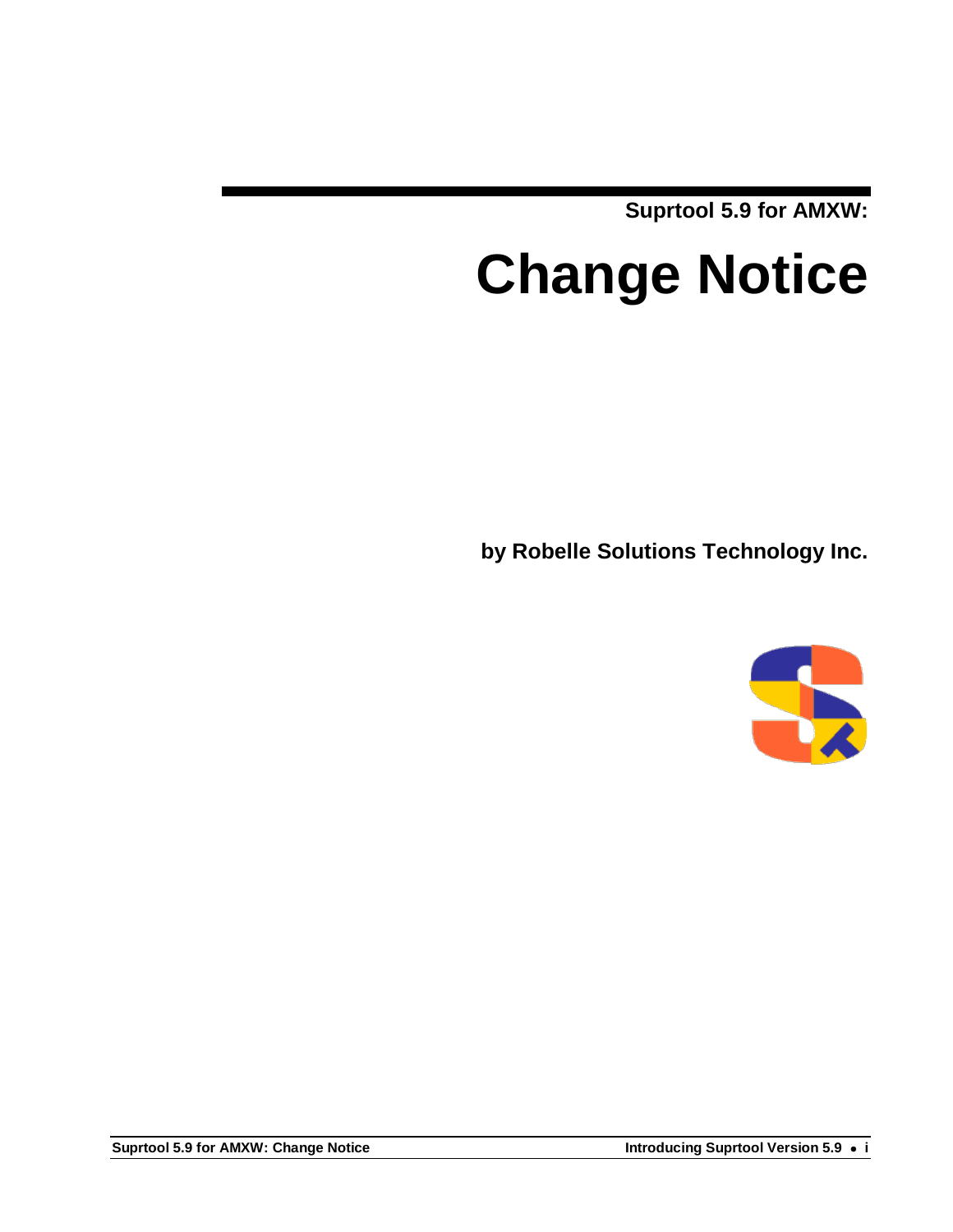**Suprtool 5.9 for AMXW:**

# **Change Notice**

**by Robelle Solutions Technology Inc.**

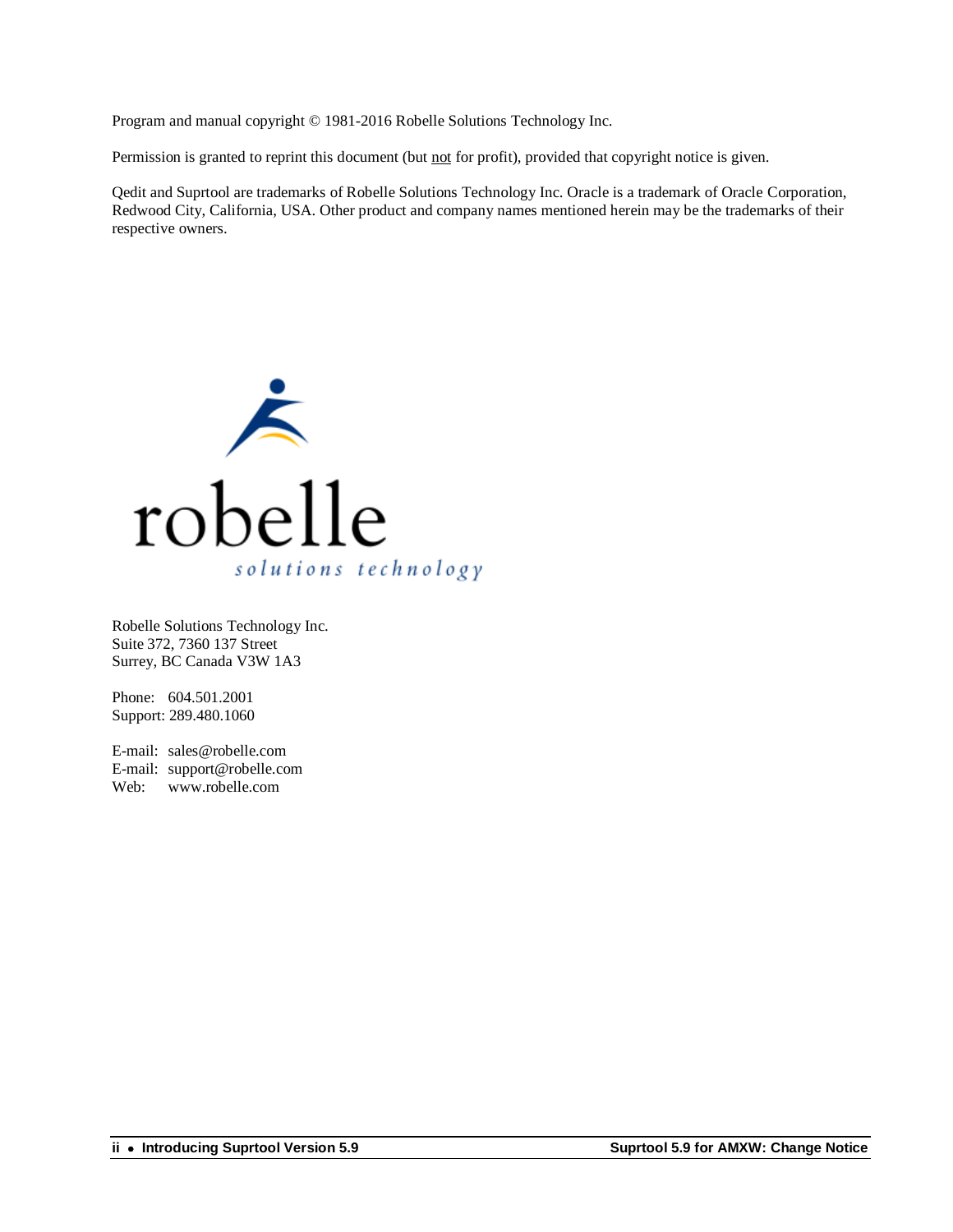Program and manual copyright © 1981-2016 Robelle Solutions Technology Inc.

Permission is granted to reprint this document (but not for profit), provided that copyright notice is given.

Qedit and Suprtool are trademarks of Robelle Solutions Technology Inc. Oracle is a trademark of Oracle Corporation, Redwood City, California, USA. Other product and company names mentioned herein may be the trademarks of their respective owners.



Robelle Solutions Technology Inc. Suite 372, 7360 137 Street Surrey, BC Canada V3W 1A3

Phone: 604.501.2001 Support: 289.480.1060

E-mail: sales@robelle.com E-mail: support@robelle.com Web: www.robelle.com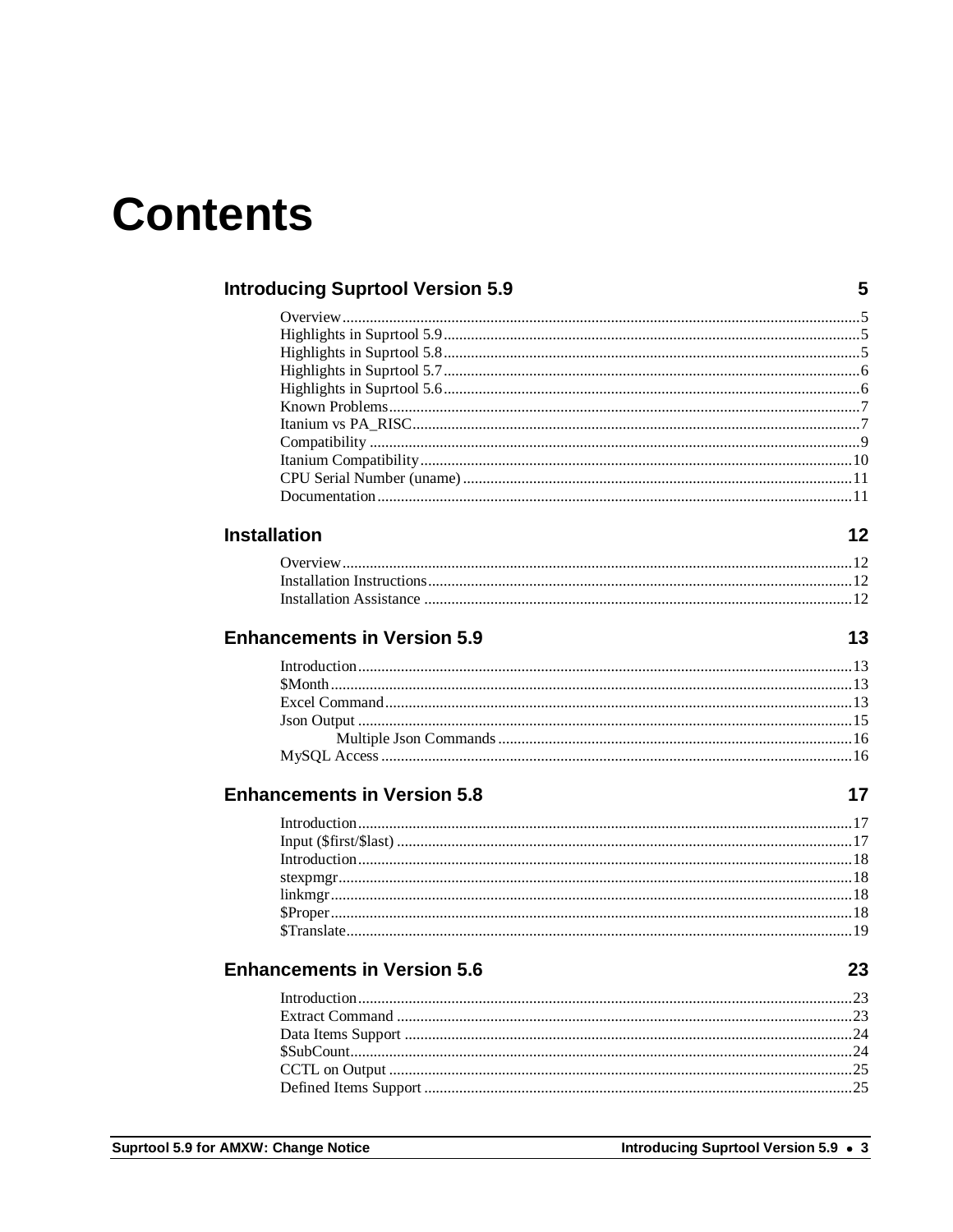## **Contents**

| <b>Introducing Suprtool Version 5.9</b> | 5                                    |
|-----------------------------------------|--------------------------------------|
|                                         |                                      |
|                                         |                                      |
|                                         |                                      |
|                                         |                                      |
|                                         |                                      |
|                                         |                                      |
|                                         |                                      |
|                                         |                                      |
|                                         |                                      |
|                                         |                                      |
|                                         |                                      |
| <b>Installation</b>                     | 12                                   |
|                                         |                                      |
|                                         |                                      |
|                                         |                                      |
| <b>Enhancements in Version 5.9</b>      | 13                                   |
|                                         |                                      |
|                                         |                                      |
|                                         |                                      |
|                                         |                                      |
|                                         |                                      |
|                                         |                                      |
| <b>Enhancements in Version 5.8</b>      | 17                                   |
|                                         |                                      |
|                                         |                                      |
|                                         |                                      |
|                                         |                                      |
|                                         |                                      |
|                                         |                                      |
|                                         |                                      |
| <b>Enhancements in Version 5.6</b>      | 23                                   |
|                                         |                                      |
|                                         |                                      |
|                                         |                                      |
|                                         |                                      |
|                                         |                                      |
|                                         |                                      |
|                                         |                                      |
| <b>AMXW</b> Change Notice               | Introducing Suprtool Version 5.9 · 3 |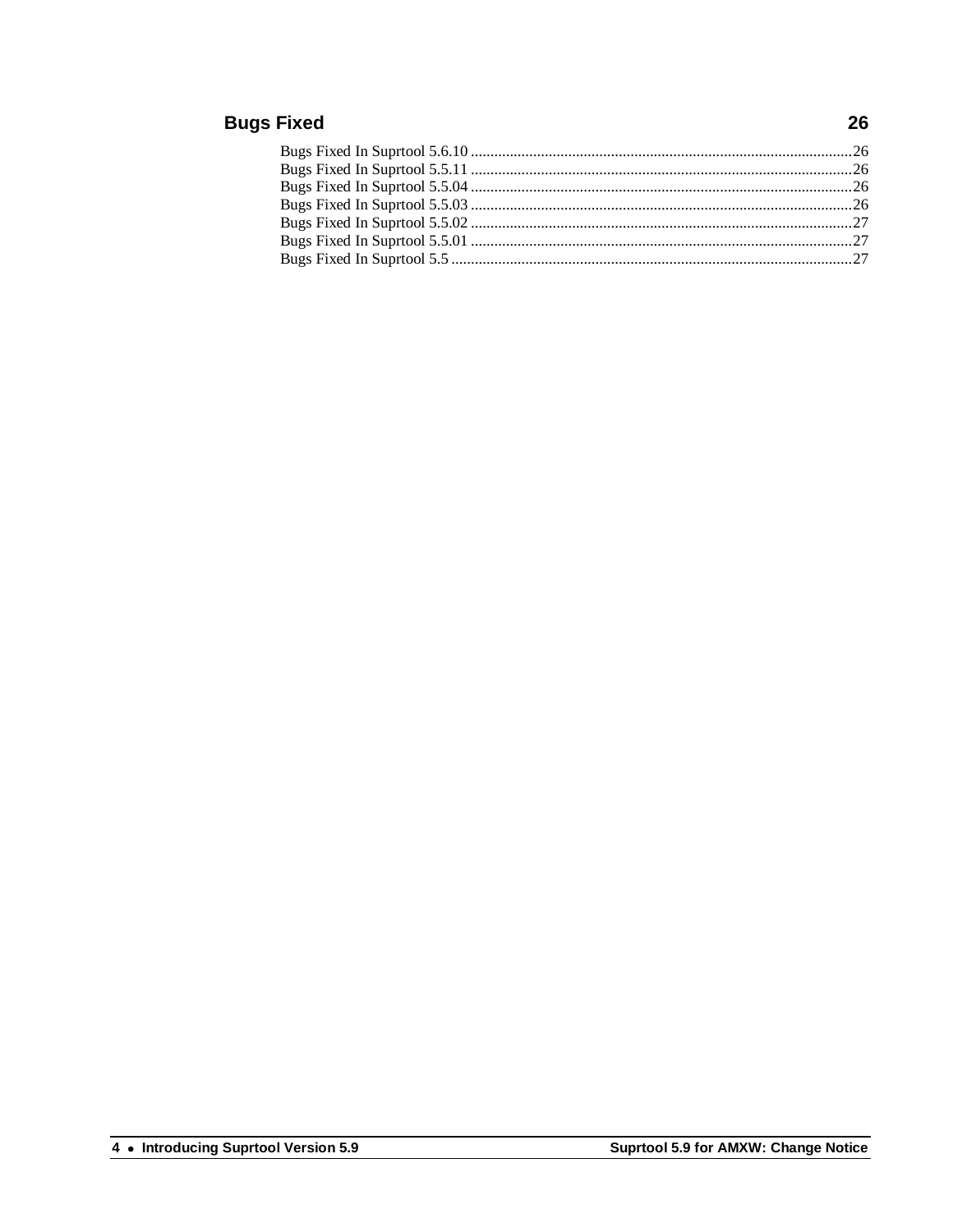#### **Bugs Fixed**

#### 26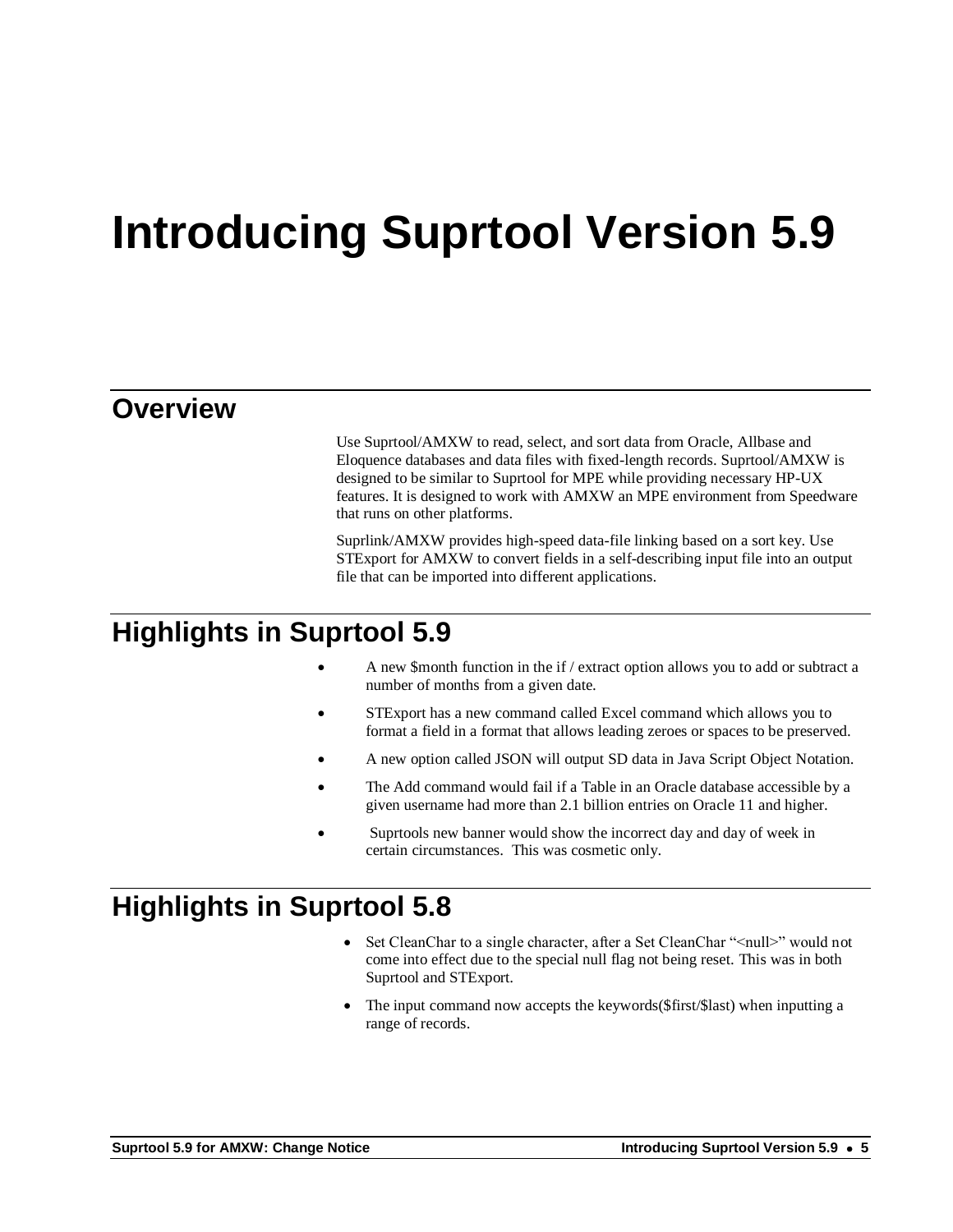# **Introducing Suprtool Version 5.9**

#### **Overview**

Use Suprtool/AMXW to read, select, and sort data from Oracle, Allbase and Eloquence databases and data files with fixed-length records. Suprtool/AMXW is designed to be similar to Suprtool for MPE while providing necessary HP-UX features. It is designed to work with AMXW an MPE environment from Speedware that runs on other platforms.

Suprlink/AMXW provides high-speed data-file linking based on a sort key. Use STExport for AMXW to convert fields in a self-describing input file into an output file that can be imported into different applications.

#### **Highlights in Suprtool 5.9**

- A new \$month function in the if / extract option allows you to add or subtract a number of months from a given date.
- STExport has a new command called Excel command which allows you to format a field in a format that allows leading zeroes or spaces to be preserved.
- A new option called JSON will output SD data in Java Script Object Notation.
- The Add command would fail if a Table in an Oracle database accessible by a given username had more than 2.1 billion entries on Oracle 11 and higher.
- Suprtools new banner would show the incorrect day and day of week in certain circumstances. This was cosmetic only.

### **Highlights in Suprtool 5.8**

- Set CleanChar to a single character, after a Set CleanChar "<null>" would not come into effect due to the special null flag not being reset. This was in both Suprtool and STExport.
- The input command now accepts the keywords(\$first/\$last) when inputting a range of records.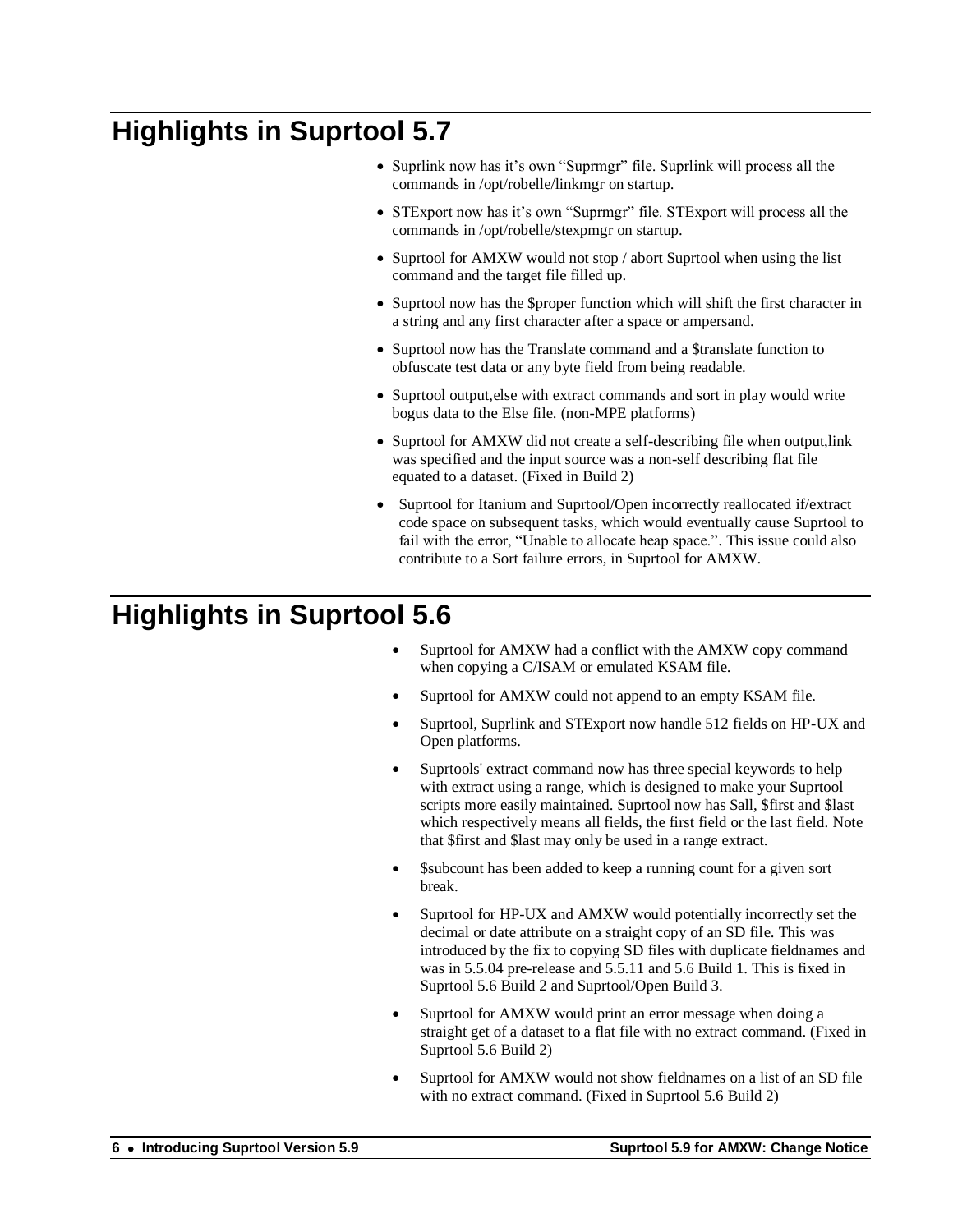## **Highlights in Suprtool 5.7**

- Suprlink now has it's own "Suprmgr" file. Suprlink will process all the commands in /opt/robelle/linkmgr on startup.
- STExport now has it's own "Suprmgr" file. STExport will process all the commands in /opt/robelle/stexpmgr on startup.
- Suprtool for AMXW would not stop / abort Suprtool when using the list command and the target file filled up.
- Suprtool now has the \$proper function which will shift the first character in a string and any first character after a space or ampersand.
- Suprtool now has the Translate command and a \$translate function to obfuscate test data or any byte field from being readable.
- Suprtool output,else with extract commands and sort in play would write bogus data to the Else file. (non-MPE platforms)
- Suprtool for AMXW did not create a self-describing file when output, link was specified and the input source was a non-self describing flat file equated to a dataset. (Fixed in Build 2)
- Suprtool for Itanium and Suprtool/Open incorrectly reallocated if/extract code space on subsequent tasks, which would eventually cause Suprtool to fail with the error, "Unable to allocate heap space.". This issue could also contribute to a Sort failure errors, in Suprtool for AMXW.

## **Highlights in Suprtool 5.6**

- Suprtool for AMXW had a conflict with the AMXW copy command when copying a C/ISAM or emulated KSAM file.
- Suprtool for AMXW could not append to an empty KSAM file.
- Suprtool, Suprlink and STExport now handle 512 fields on HP-UX and Open platforms.
- Suprtools' extract command now has three special keywords to help with extract using a range, which is designed to make your Suprtool scripts more easily maintained. Suprtool now has \$all, \$first and \$last which respectively means all fields, the first field or the last field. Note that \$first and \$last may only be used in a range extract.
- \$subcount has been added to keep a running count for a given sort break.
- Suprtool for HP-UX and AMXW would potentially incorrectly set the decimal or date attribute on a straight copy of an SD file. This was introduced by the fix to copying SD files with duplicate fieldnames and was in 5.5.04 pre-release and 5.5.11 and 5.6 Build 1. This is fixed in Suprtool 5.6 Build 2 and Suprtool/Open Build 3.
- Suprtool for AMXW would print an error message when doing a straight get of a dataset to a flat file with no extract command. (Fixed in Suprtool 5.6 Build 2)
- Suprtool for AMXW would not show fieldnames on a list of an SD file with no extract command. (Fixed in Suprtool 5.6 Build 2)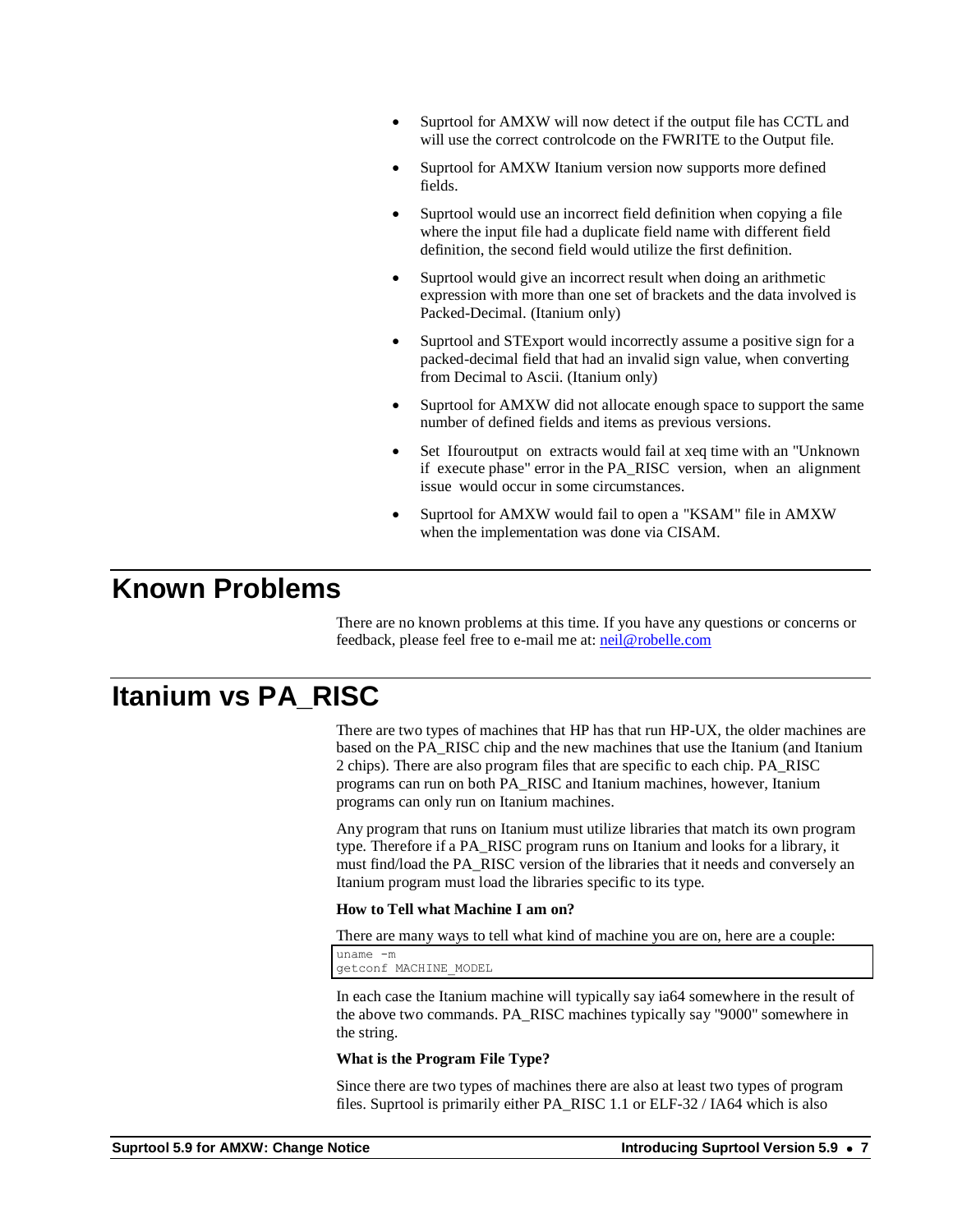- Suprtool for AMXW will now detect if the output file has CCTL and will use the correct controlcode on the FWRITE to the Output file.
- Suprtool for AMXW Itanium version now supports more defined fields.
- Suprtool would use an incorrect field definition when copying a file where the input file had a duplicate field name with different field definition, the second field would utilize the first definition.
- Suprtool would give an incorrect result when doing an arithmetic expression with more than one set of brackets and the data involved is Packed-Decimal. (Itanium only)
- Suprtool and STExport would incorrectly assume a positive sign for a packed-decimal field that had an invalid sign value, when converting from Decimal to Ascii. (Itanium only)
- Suprtool for AMXW did not allocate enough space to support the same number of defined fields and items as previous versions.
- Set Ifouroutput on extracts would fail at xeq time with an "Unknown if execute phase" error in the PA\_RISC version, when an alignment issue would occur in some circumstances.
- Suprtool for AMXW would fail to open a "KSAM" file in AMXW when the implementation was done via CISAM.

#### **Known Problems**

There are no known problems at this time. If you have any questions or concerns or feedback, please feel free to e-mail me at[: neil@robelle.com](mailto:neil@robelle.com)

#### **Itanium vs PA\_RISC**

There are two types of machines that HP has that run HP-UX, the older machines are based on the PA\_RISC chip and the new machines that use the Itanium (and Itanium 2 chips). There are also program files that are specific to each chip. PA\_RISC programs can run on both PA\_RISC and Itanium machines, however, Itanium programs can only run on Itanium machines.

Any program that runs on Itanium must utilize libraries that match its own program type. Therefore if a PA\_RISC program runs on Itanium and looks for a library, it must find/load the PA\_RISC version of the libraries that it needs and conversely an Itanium program must load the libraries specific to its type.

#### **How to Tell what Machine I am on?**

There are many ways to tell what kind of machine you are on, here are a couple:

uname -m getconf MACHINE\_MODEL

In each case the Itanium machine will typically say ia64 somewhere in the result of the above two commands. PA\_RISC machines typically say "9000" somewhere in the string.

#### **What is the Program File Type?**

Since there are two types of machines there are also at least two types of program files. Suprtool is primarily either PA\_RISC 1.1 or ELF-32 / IA64 which is also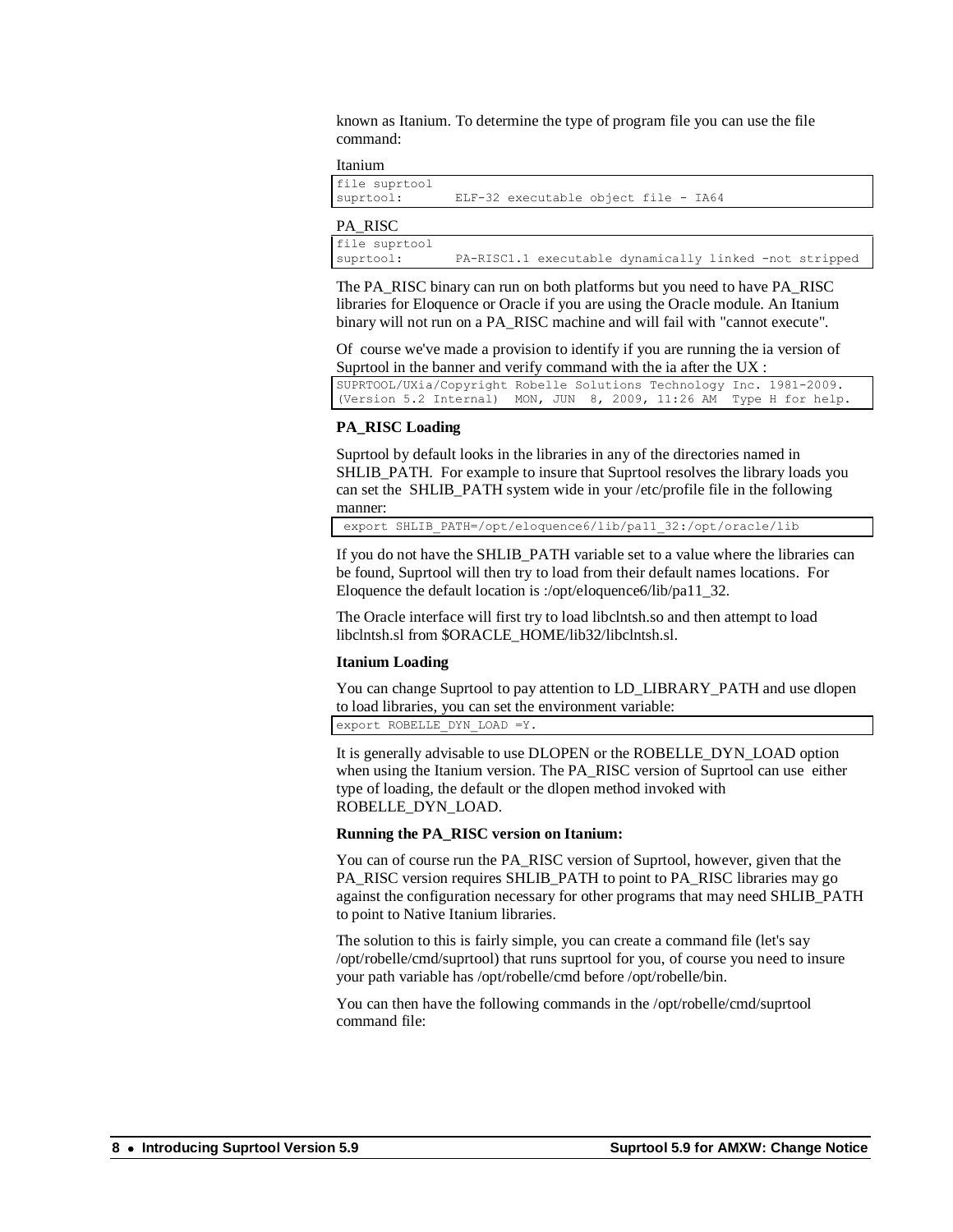known as Itanium. To determine the type of program file you can use the file command:

#### Itanium

| file suprtool<br>suprtool: | ELF-32 executable object file - IA64                   |
|----------------------------|--------------------------------------------------------|
| PA RISC                    |                                                        |
| file suprtool<br>suprtool: | PA-RISC1.1 executable dynamically linked -not stripped |

The PA\_RISC binary can run on both platforms but you need to have PA\_RISC libraries for Eloquence or Oracle if you are using the Oracle module. An Itanium binary will not run on a PA\_RISC machine and will fail with "cannot execute".

Of course we've made a provision to identify if you are running the ia version of Suprtool in the banner and verify command with the ia after the UX :

SUPRTOOL/UXia/Copyright Robelle Solutions Technology Inc. 1981-2009. (Version 5.2 Internal) MON, JUN 8, 2009, 11:26 AM Type H for help.

#### **PA\_RISC Loading**

Suprtool by default looks in the libraries in any of the directories named in SHLIB PATH. For example to insure that Suprtool resolves the library loads you can set the SHLIB\_PATH system wide in your /etc/profile file in the following manner:

export SHLIB\_PATH=/opt/eloquence6/lib/pa11\_32:/opt/oracle/lib

If you do not have the SHLIB\_PATH variable set to a value where the libraries can be found, Suprtool will then try to load from their default names locations. For Eloquence the default location is :/opt/eloquence6/lib/pa11\_32.

The Oracle interface will first try to load libclntsh.so and then attempt to load libclntsh.sl from \$ORACLE\_HOME/lib32/libclntsh.sl.

#### **Itanium Loading**

You can change Suprtool to pay attention to LD\_LIBRARY\_PATH and use dlopen to load libraries, you can set the environment variable:

export ROBELLE\_DYN\_LOAD =Y.

It is generally advisable to use DLOPEN or the ROBELLE\_DYN\_LOAD option when using the Itanium version. The PA\_RISC version of Suprtool can use either type of loading, the default or the dlopen method invoked with ROBELLE\_DYN\_LOAD.

#### **Running the PA\_RISC version on Itanium:**

You can of course run the PA\_RISC version of Suprtool, however, given that the PA\_RISC version requires SHLIB\_PATH to point to PA\_RISC libraries may go against the configuration necessary for other programs that may need SHLIB\_PATH to point to Native Itanium libraries.

The solution to this is fairly simple, you can create a command file (let's say /opt/robelle/cmd/suprtool) that runs suprtool for you, of course you need to insure your path variable has /opt/robelle/cmd before /opt/robelle/bin.

You can then have the following commands in the /opt/robelle/cmd/suprtool command file: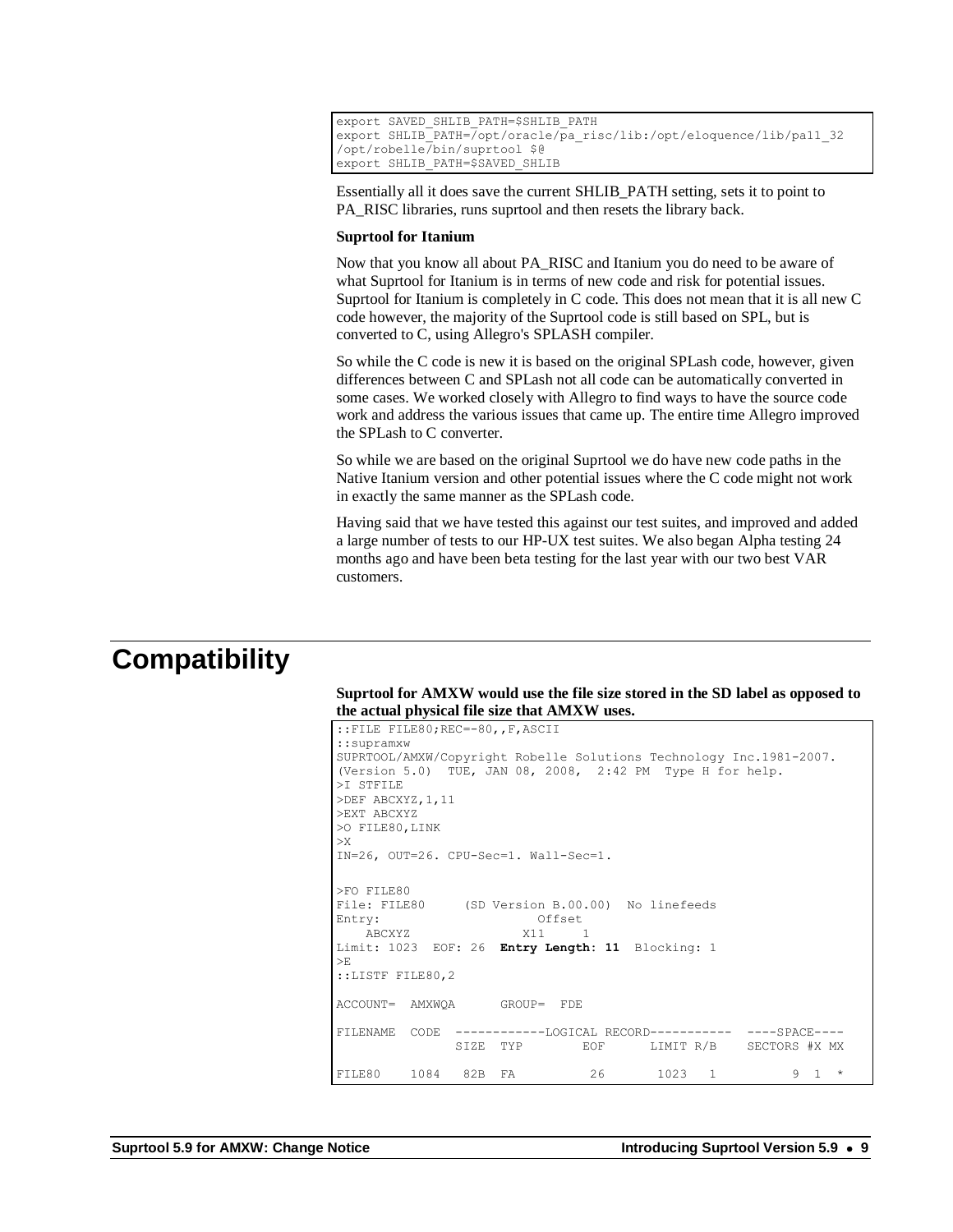```
export SAVED_SHLIB_PATH=$SHLIB_PATH
export SHLIB<sup>-</sup>PATH=/opt/oracle/pa risc/lib:/opt/eloquence/lib/pa11_32
/opt/robelle/bin/suprtool $@
export SHLIB_PATH=$SAVED_SHLIB
```
Essentially all it does save the current SHLIB\_PATH setting, sets it to point to PA\_RISC libraries, runs suprtool and then resets the library back.

#### **Suprtool for Itanium**

Now that you know all about PA\_RISC and Itanium you do need to be aware of what Suprtool for Itanium is in terms of new code and risk for potential issues. Suprtool for Itanium is completely in C code. This does not mean that it is all new C code however, the majority of the Suprtool code is still based on SPL, but is converted to C, using Allegro's SPLASH compiler.

So while the C code is new it is based on the original SPLash code, however, given differences between C and SPLash not all code can be automatically converted in some cases. We worked closely with Allegro to find ways to have the source code work and address the various issues that came up. The entire time Allegro improved the SPLash to C converter.

So while we are based on the original Suprtool we do have new code paths in the Native Itanium version and other potential issues where the C code might not work in exactly the same manner as the SPLash code.

Having said that we have tested this against our test suites, and improved and added a large number of tests to our HP-UX test suites. We also began Alpha testing 24 months ago and have been beta testing for the last year with our two best VAR customers.

#### **Compatibility**

#### **Suprtool for AMXW would use the file size stored in the SD label as opposed to the actual physical file size that AMXW uses.**

```
::FILE FILE80;REC=-80,,F,ASCII
::supramxw
SUPRTOOL/AMXW/Copyright Robelle Solutions Technology Inc.1981-2007.
(Version 5.0) TUE, JAN 08, 2008, 2:42 PM Type H for help.
>I STFILE
>DEF ABCXYZ,1,11
>EXT ABCXYZ
>O FILE80,LINK
>X
IN=26, OUT=26. CPU-Sec=1. Wall-Sec=1.
>FO FILE80<br>File: FILE80
             (SD Version B.00.00) No linefeeds
Entry: Offset
ABCXYZ X11 1
Limit: 1023 EOF: 26 Entry Length: 11 Blocking: 1
>E::LISTF FILE80,2
ACCOUNT= AMXWQA GROUP= FDE
FILENAME CODE ------------LOGICAL RECORD----------- ----SPACE----
              SIZE TYP EOF LIMIT R/B SECTORS #X MX
FILE80 1084 82B FA 26 1023 1 9 1 *
```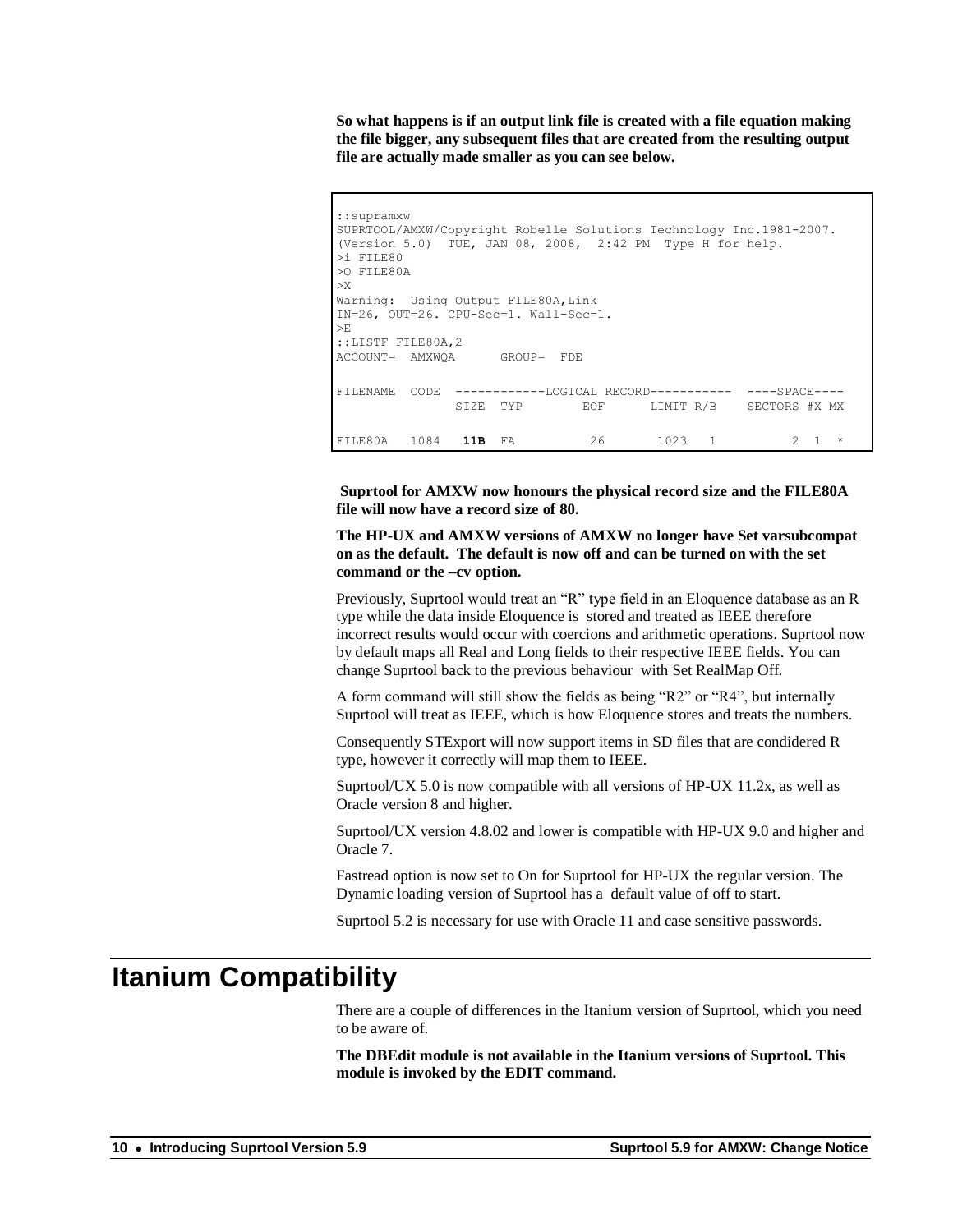**So what happens is if an output link file is created with a file equation making the file bigger, any subsequent files that are created from the resulting output file are actually made smaller as you can see below.**

```
::supramxw
SUPRTOOL/AMXW/Copyright Robelle Solutions Technology Inc.1981-2007.
(Version 5.0) TUE, JAN 08, 2008, 2:42 PM Type H for help.
>i FILE80
>O FILE80A
\mathbf{y}Warning: Using Output FILE80A, Link
IN=26, OUT=26. CPU-Sec=1. Wall-Sec=1.
>E
::LISTF FILE80A,2
ACCOUNT= AMXWQA GROUP= FDE
FILENAME CODE ------------LOGICAL RECORD----------- ----SPACE----
               SIZE TYP EOF LIMIT R/B SECTORS #X MX
FILE80A 1084 11B FA 26 1023 1 2 1 *
```
**Suprtool for AMXW now honours the physical record size and the FILE80A file will now have a record size of 80.**

**The HP-UX and AMXW versions of AMXW no longer have Set varsubcompat on as the default. The default is now off and can be turned on with the set command or the –cv option.**

Previously, Suprtool would treat an "R" type field in an Eloquence database as an R type while the data inside Eloquence is stored and treated as IEEE therefore incorrect results would occur with coercions and arithmetic operations. Suprtool now by default maps all Real and Long fields to their respective IEEE fields. You can change Suprtool back to the previous behaviour with Set RealMap Off.

A form command will still show the fields as being "R2" or "R4", but internally Suprtool will treat as IEEE, which is how Eloquence stores and treats the numbers.

Consequently STExport will now support items in SD files that are condidered R type, however it correctly will map them to IEEE.

Suprtool/UX 5.0 is now compatible with all versions of HP-UX 11.2x, as well as Oracle version 8 and higher.

Suprtool/UX version 4.8.02 and lower is compatible with HP-UX 9.0 and higher and Oracle 7.

Fastread option is now set to On for Suprtool for HP-UX the regular version. The Dynamic loading version of Suprtool has a default value of off to start.

Suprtool 5.2 is necessary for use with Oracle 11 and case sensitive passwords.

#### **Itanium Compatibility**

There are a couple of differences in the Itanium version of Suprtool, which you need to be aware of.

**The DBEdit module is not available in the Itanium versions of Suprtool. This module is invoked by the EDIT command.**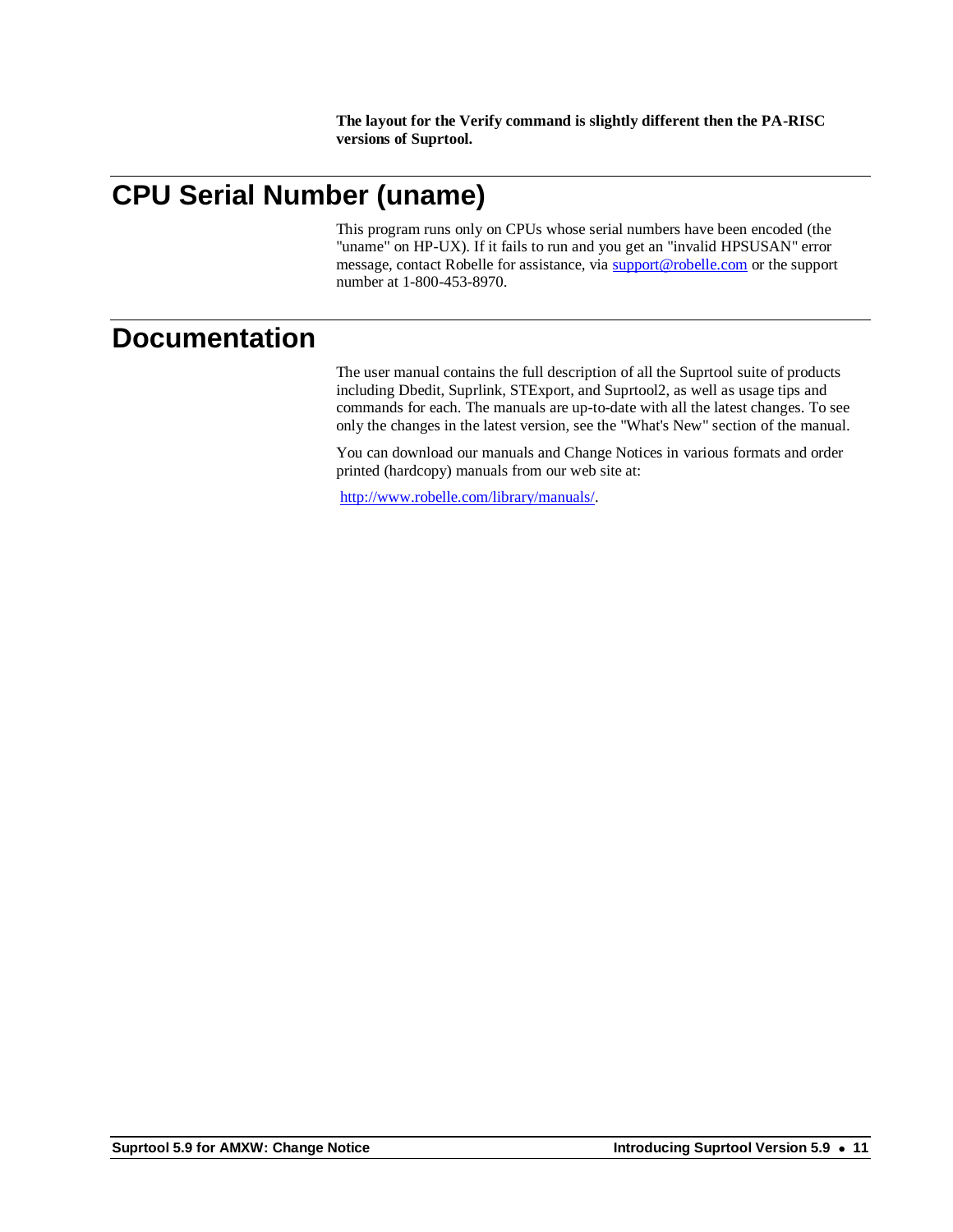**The layout for the Verify command is slightly different then the PA-RISC versions of Suprtool.**

## **CPU Serial Number (uname)**

This program runs only on CPUs whose serial numbers have been encoded (the "uname" on HP-UX). If it fails to run and you get an "invalid HPSUSAN" error message, contact Robelle for assistance, via [support@robelle.com](mailto:support@robelle.com) or the support number at 1-800-453-8970.

#### **Documentation**

The user manual contains the full description of all the Suprtool suite of products including Dbedit, Suprlink, STExport, and Suprtool2, as well as usage tips and commands for each. The manuals are up-to-date with all the latest changes. To see only the changes in the latest version, see the "What's New" section of the manual.

You can download our manuals and Change Notices in various formats and order printed (hardcopy) manuals from our web site at:

[http://www.robelle.com/library/manuals/.](http://www.robelle.com/library/manuals/)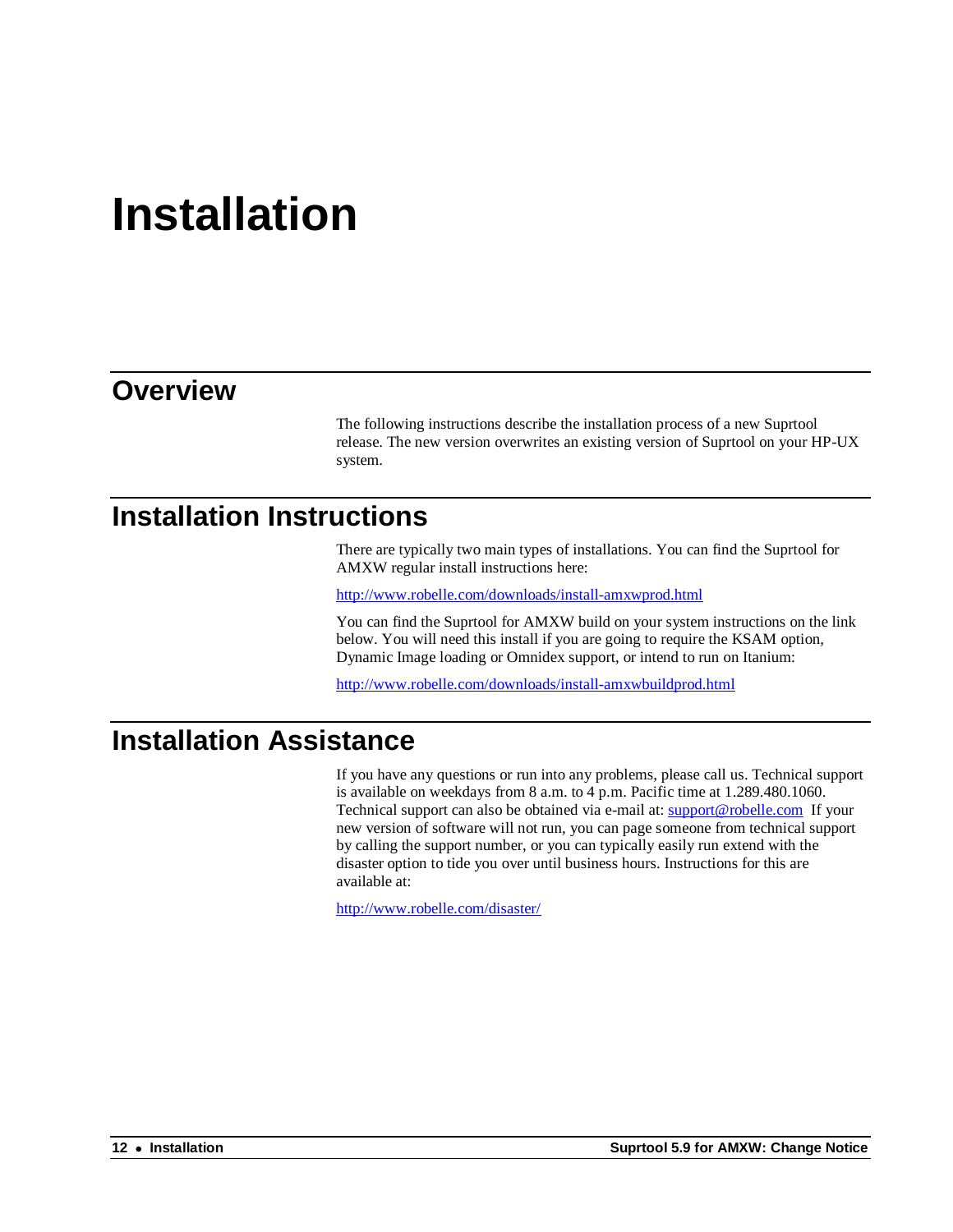# **Installation**

#### **Overview**

The following instructions describe the installation process of a new Suprtool release. The new version overwrites an existing version of Suprtool on your HP-UX system.

#### **Installation Instructions**

There are typically two main types of installations. You can find the Suprtool for AMXW regular install instructions here:

<http://www.robelle.com/downloads/install-amxwprod.html>

You can find the Suprtool for AMXW build on your system instructions on the link below. You will need this install if you are going to require the KSAM option, Dynamic Image loading or Omnidex support, or intend to run on Itanium:

<http://www.robelle.com/downloads/install-amxwbuildprod.html>

## **Installation Assistance**

If you have any questions or run into any problems, please call us. Technical support is available on weekdays from 8 a.m. to 4 p.m. Pacific time at 1.289.480.1060. Technical support can also be obtained via e-mail at: **support@robelle.com** If your new version of software will not run, you can page someone from technical support by calling the support number, or you can typically easily run extend with the disaster option to tide you over until business hours. Instructions for this are available at:

<http://www.robelle.com/disaster/>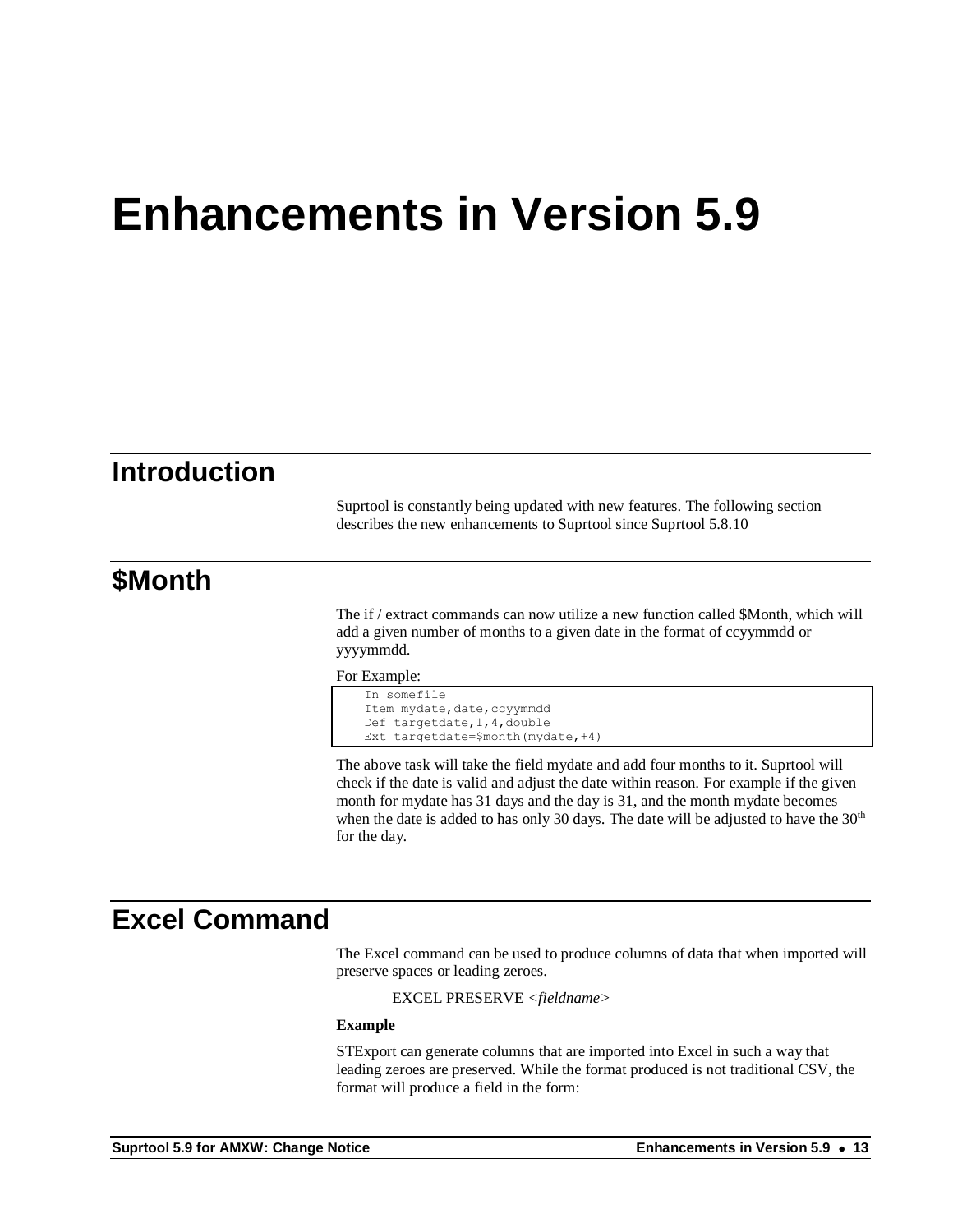## **Enhancements in Version 5.9**

#### **Introduction**

Suprtool is constantly being updated with new features. The following section describes the new enhancements to Suprtool since Suprtool 5.8.10

#### **\$Month**

The if / extract commands can now utilize a new function called \$Month, which will add a given number of months to a given date in the format of ccyymmdd or yyyymmdd.

For Example:

```
In somefile
Item mydate, date, ccyymmdd
Def targetdate,1,4,double
Ext targetdate=$month(mydate,+4)
```
The above task will take the field mydate and add four months to it. Suprtool will check if the date is valid and adjust the date within reason. For example if the given month for mydate has 31 days and the day is 31, and the month mydate becomes when the date is added to has only 30 days. The date will be adjusted to have the  $30<sup>th</sup>$ for the day.

#### **Excel Command**

The Excel command can be used to produce columns of data that when imported will preserve spaces or leading zeroes.

EXCEL PRESERVE *<fieldname>*

#### **Example**

STExport can generate columns that are imported into Excel in such a way that leading zeroes are preserved. While the format produced is not traditional CSV, the format will produce a field in the form: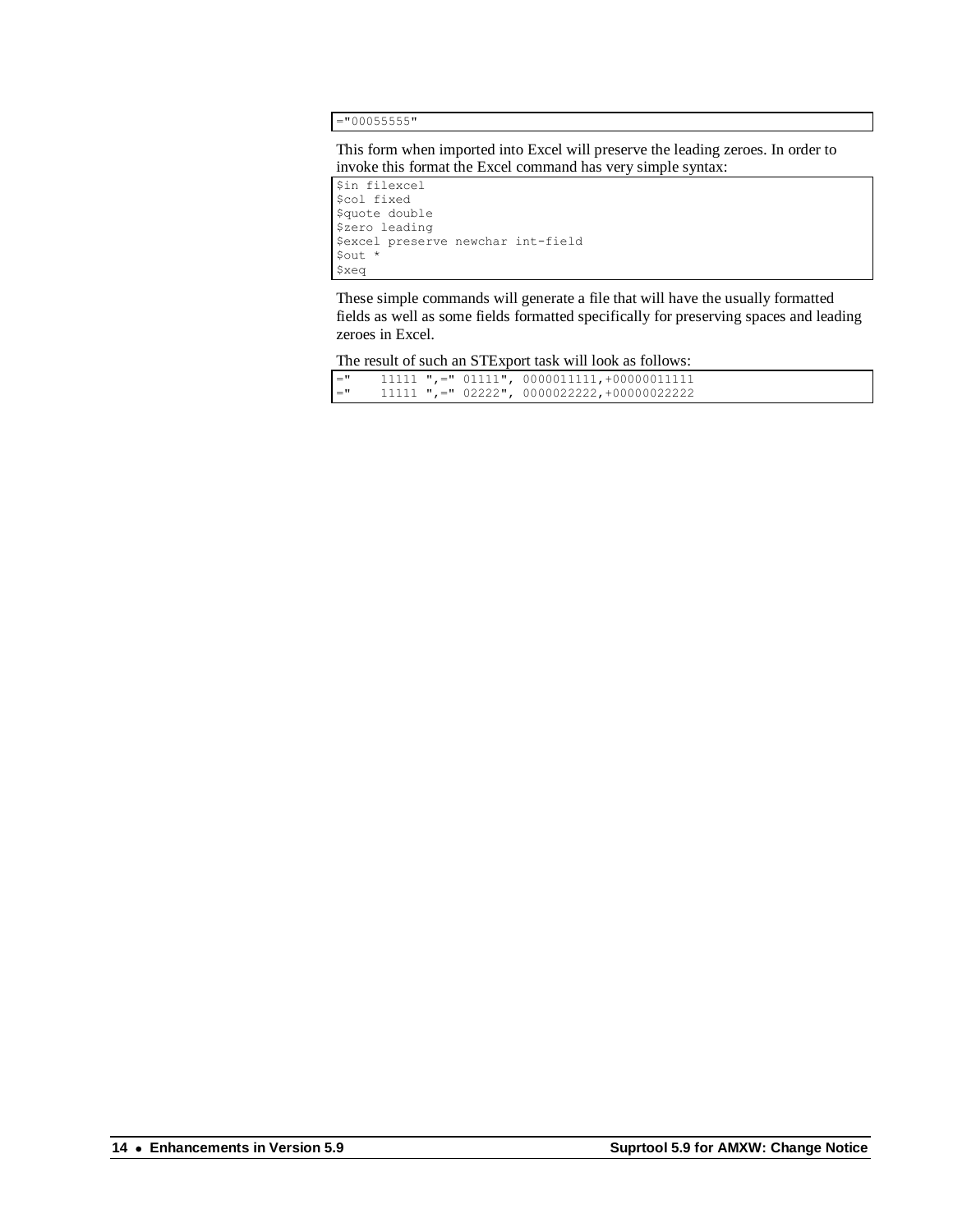="00055555"

This form when imported into Excel will preserve the leading zeroes. In order to invoke this format the Excel command has very simple syntax:

\$in filexcel \$col fixed \$quote double \$zero leading \$excel preserve newchar int-field \$out \* \$xeq

These simple commands will generate a file that will have the usually formatted fields as well as some fields formatted specifically for preserving spaces and leading zeroes in Excel.

The result of such an STExport task will look as follows:

| $=$ " |  | $11111$ ",=" $01111$ ", $0000011111$ , +000000111111 |
|-------|--|------------------------------------------------------|
| $=$ " |  | $11111$ ",=" 02222", 0000022222,+00000022222         |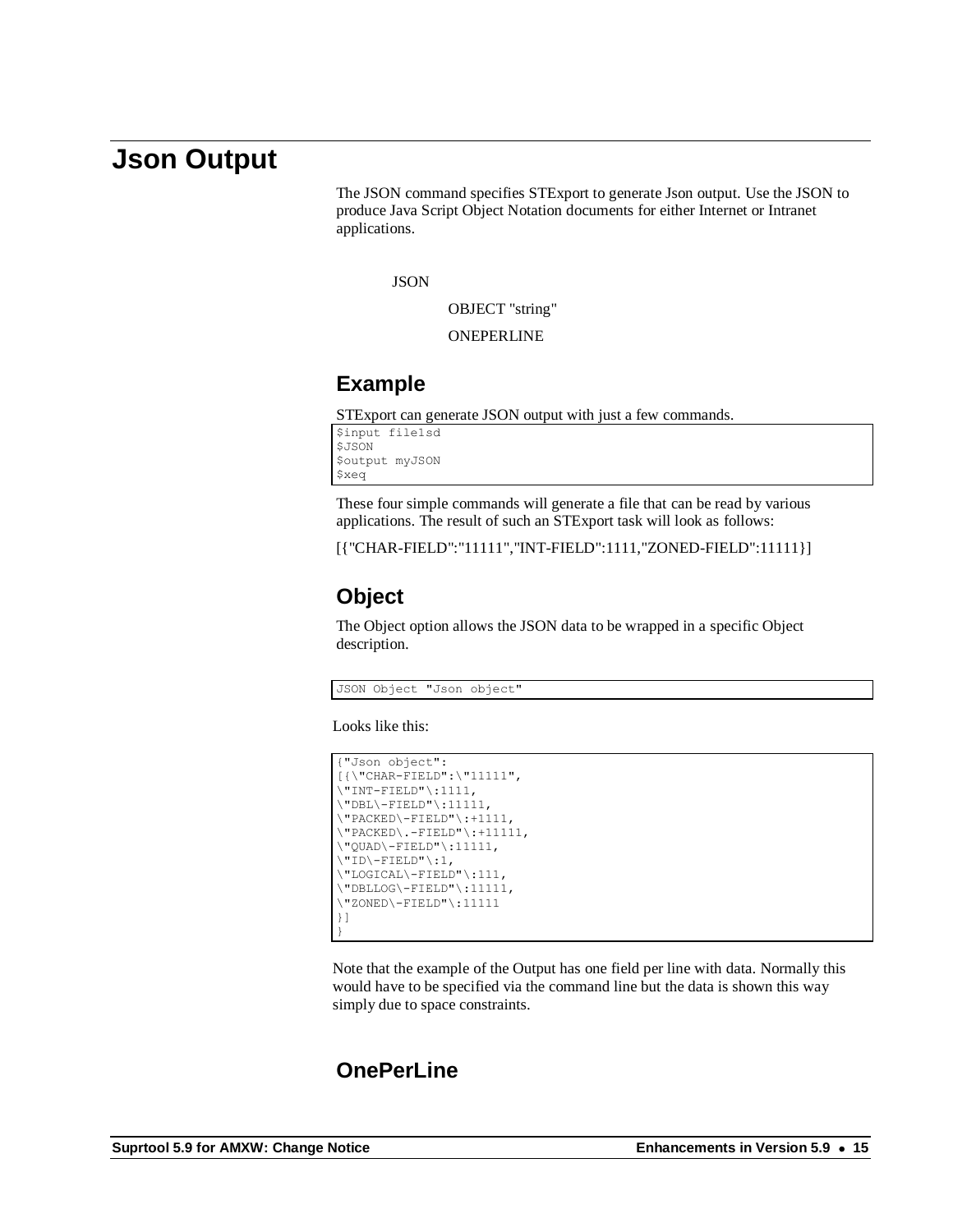### **Json Output**

The JSON command specifies STExport to generate Json output. Use the JSON to produce Java Script Object Notation documents for either Internet or Intranet applications.

**JSON** 

OBJECT "string"

ONEPERLINE

#### **Example**

STExport can generate JSON output with just a few commands.

```
$input file1sd
$JSON
$output myJSON
$xeq
```
These four simple commands will generate a file that can be read by various applications. The result of such an STExport task will look as follows:

[{"CHAR-FIELD":"11111","INT-FIELD":1111,"ZONED-FIELD":11111}]

#### **Object**

The Object option allows the JSON data to be wrapped in a specific Object description.

JSON Object "Json object"

Looks like this:

```
{"Json object":
[{\"CHAR-FIELD":\"11111",
\Upsilon"INT-FIELD"\Upsilon:1111,
\Upsilon"DBL\Upsilon-FIELD"\Upsilon:11111,
\vee"PACKED\vee-FIELD"\vee:+1111,
\Upsilon"PACKED\ldots-FIELD"\Upsilon:+11111,
\Upsilon"QUAD\Upsilon-FIELD"\Upsilon:11111,
\vee"ID\vee-FIELD"\vee:1,
\"LOGICAL\-FIELD"\:111,
\"DBLLOG\-FIELD"\:11111,
\"ZONED\-FIELD"\:11111
}]
}
```
Note that the example of the Output has one field per line with data. Normally this would have to be specified via the command line but the data is shown this way simply due to space constraints.

#### **OnePerLine**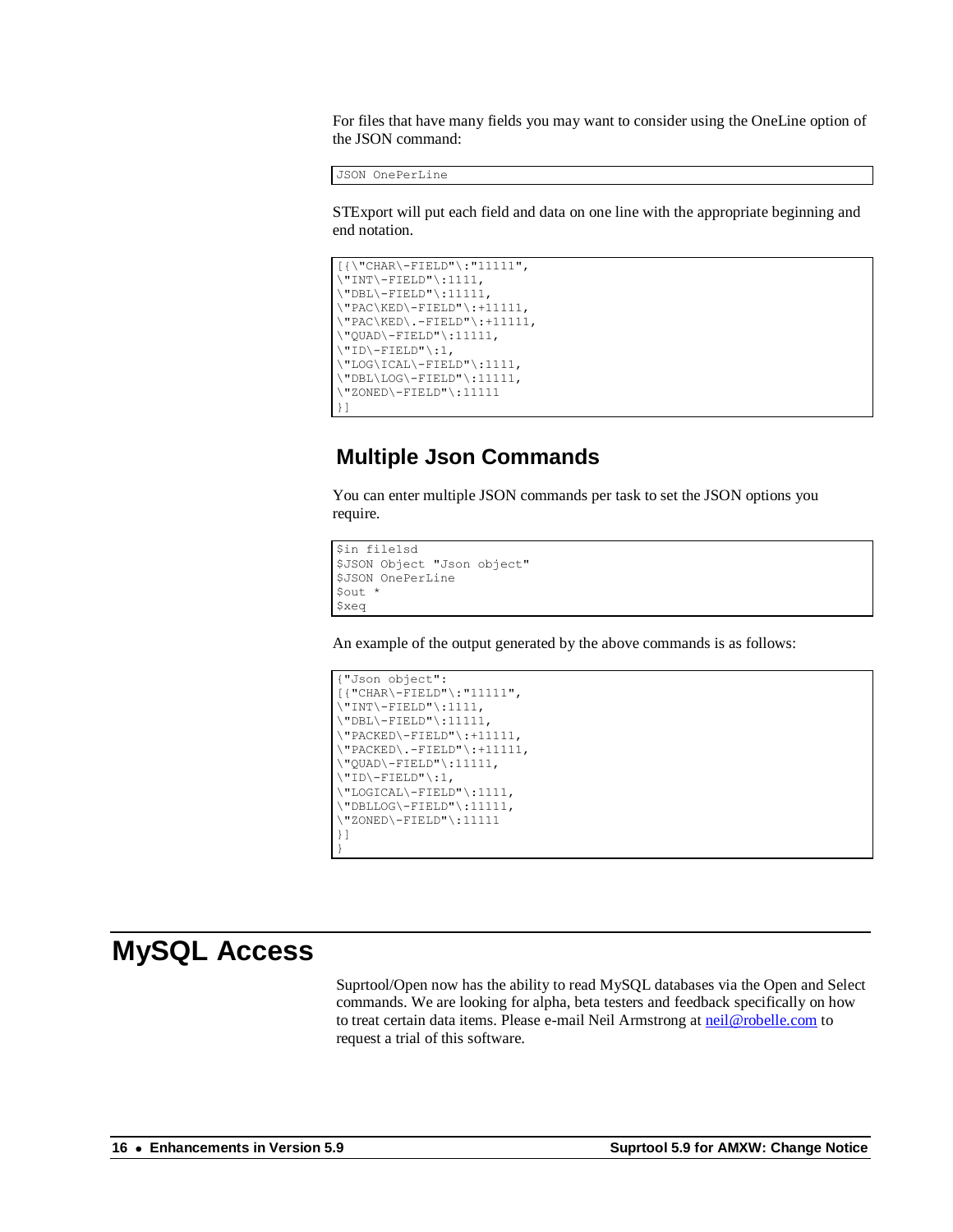For files that have many fields you may want to consider using the OneLine option of the JSON command:

JSON OnePerLine

STExport will put each field and data on one line with the appropriate beginning and end notation.

```
[{\"CHAR\-FIELD"\:"11111",
\Upsilon"INT\-FIELD"\:1111,
\"DBL\-FIELD"\:11111,
\"PAC\KED\-FIELD"\:+11111,
\Upsilon"PAC\KED\.-FIELD"\:+11111,
\"QUAD\-FIELD"\:11111,
\Upsilon"ID\Upsilon-FIELD"\Upsilon:1,
\Upsilon"LOG\ICAL\-FIELD"\:1111,
\Upsilon"DBL\LOG\-FIELD"\:11111,
\"ZONED\-FIELD"\:11111
}]
```
#### **Multiple Json Commands**

You can enter multiple JSON commands per task to set the JSON options you require.

```
$in file1sd
$JSON Object "Json object"
$JSON OnePerLine
$out *
$xeq
```
An example of the output generated by the above commands is as follows:

```
{"Json object":
[{"CHAR\-FIELD"\:"11111",
\Upsilon"INT\Upsilon-FIELD"\Upsilon:1111,
\Upsilon"DBL\Upsilon-FIELD"\Upsilon:11111,
\Upsilon"PACKED\Upsilon-FIELD"\Upsilon:+11111,
\Upsilon"PACKED\Upsilon.-FIELD"\Upsilon:+11111,
\"QUAD\-FIELD"\:11111,
\vee"ID\vee-FIELD"\vee:1,
\"LOGICAL\-FIELD"\:1111,
\"DBLLOG\-FIELD"\:11111,
\"ZONED\-FIELD"\:11111
}]
}
```
#### **MySQL Access**

Suprtool/Open now has the ability to read MySQL databases via the Open and Select commands. We are looking for alpha, beta testers and feedback specifically on how to treat certain data items. Please e-mail Neil Armstrong at [neil@robelle.com](mailto:neil@robelle.com) to request a trial of this software.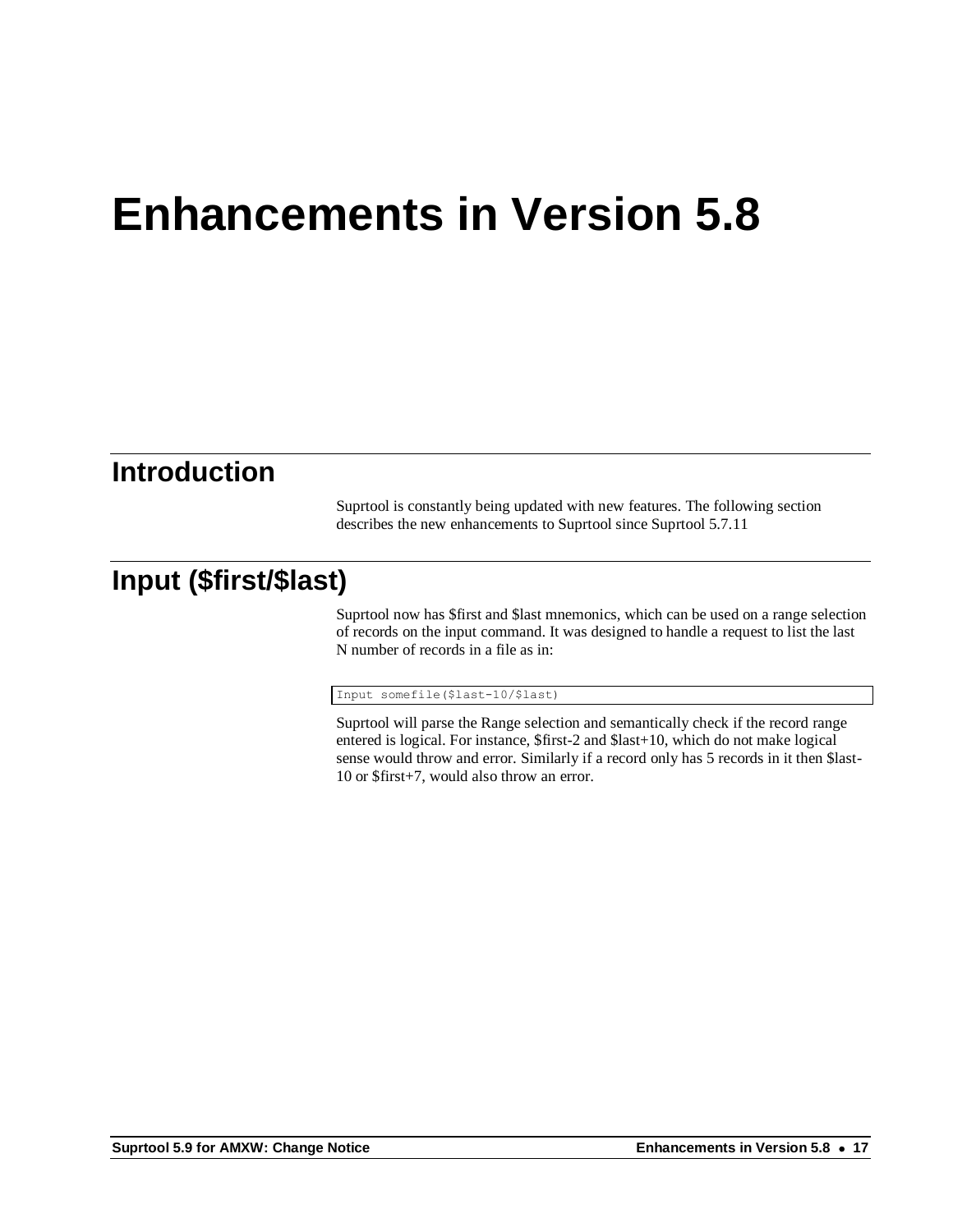# **Enhancements in Version 5.8**

#### **Introduction**

Suprtool is constantly being updated with new features. The following section describes the new enhancements to Suprtool since Suprtool 5.7.11

### **Input (\$first/\$last)**

Suprtool now has \$first and \$last mnemonics, which can be used on a range selection of records on the input command. It was designed to handle a request to list the last N number of records in a file as in:

#### Input somefile(\$last-10/\$last)

Suprtool will parse the Range selection and semantically check if the record range entered is logical. For instance, \$first-2 and \$last+10, which do not make logical sense would throw and error. Similarly if a record only has 5 records in it then \$last-10 or \$first+7, would also throw an error.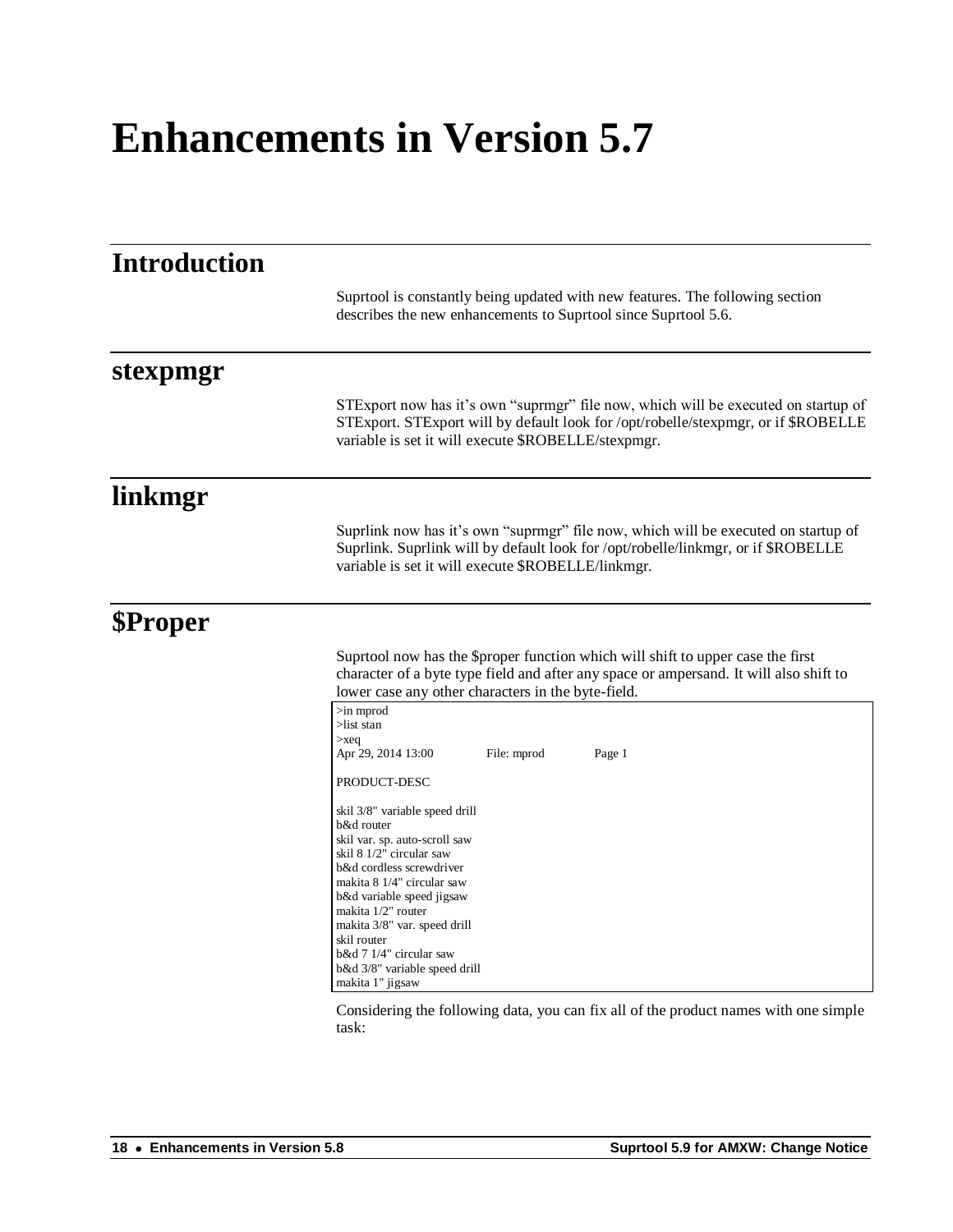## **Enhancements in Version 5.7**

| <b>Introduction</b> |                                                                                                                                                                                                                                                                                                                                                       |  |  |  |
|---------------------|-------------------------------------------------------------------------------------------------------------------------------------------------------------------------------------------------------------------------------------------------------------------------------------------------------------------------------------------------------|--|--|--|
|                     | Suprtool is constantly being updated with new features. The following section<br>describes the new enhancements to Suprtool since Suprtool 5.6.                                                                                                                                                                                                       |  |  |  |
| stexpmgr            |                                                                                                                                                                                                                                                                                                                                                       |  |  |  |
|                     | STExport now has it's own "suprmgr" file now, which will be executed on startup of<br>STExport. STExport will by default look for /opt/robelle/stexpmgr, or if \$ROBELLE<br>variable is set it will execute \$ROBELLE/stexpmgr.                                                                                                                       |  |  |  |
| linkmgr             |                                                                                                                                                                                                                                                                                                                                                       |  |  |  |
|                     | Suprlink now has it's own "suprmgr" file now, which will be executed on startup of<br>Suprlink. Suprlink will by default look for /opt/robelle/linkmgr, or if \$ROBELLE<br>variable is set it will execute \$ROBELLE/linkmgr.                                                                                                                         |  |  |  |
| <b>\$Proper</b>     |                                                                                                                                                                                                                                                                                                                                                       |  |  |  |
|                     | Suprtool now has the \$proper function which will shift to upper case the first<br>character of a byte type field and after any space or ampersand. It will also shift to<br>lower case any other characters in the byte-field.                                                                                                                       |  |  |  |
|                     | $>$ in mprod<br>$>$ list stan<br>$>\x{seq}$<br>Apr 29, 2014 13:00<br>File: mprod<br>Page 1                                                                                                                                                                                                                                                            |  |  |  |
|                     | PRODUCT-DESC                                                                                                                                                                                                                                                                                                                                          |  |  |  |
|                     | skil 3/8" variable speed drill<br>b&d router<br>skil var. sp. auto-scroll saw<br>skil 8 1/2" circular saw<br>b&d cordless screwdriver<br>makita 8 1/4" circular saw<br>b&d variable speed jigsaw<br>makita 1/2" router<br>makita 3/8" var. speed drill<br>skil router<br>b&d 7 1/4" circular saw<br>b&d 3/8" variable speed drill<br>makita 1" jigsaw |  |  |  |

Considering the following data, you can fix all of the product names with one simple task: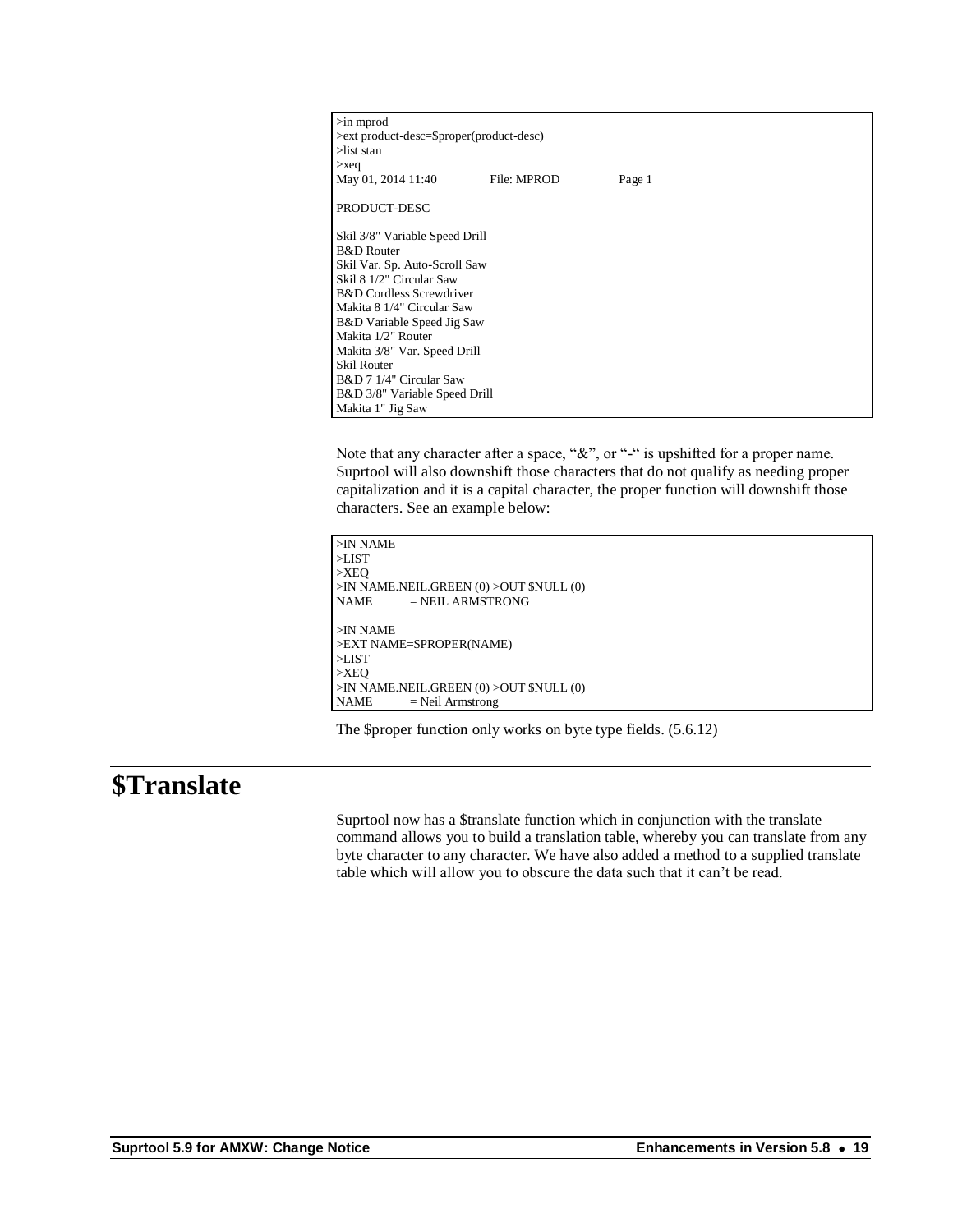| $\sin$ mprod<br>>ext product-desc=\$proper(product-desc)<br>$>$ list stan |             |        |  |  |  |
|---------------------------------------------------------------------------|-------------|--------|--|--|--|
| $>\x{seq}$                                                                |             |        |  |  |  |
| May 01, 2014 11:40                                                        | File: MPROD | Page 1 |  |  |  |
| PRODUCT-DESC                                                              |             |        |  |  |  |
| Skil 3/8" Variable Speed Drill                                            |             |        |  |  |  |
| <b>B&amp;D</b> Router                                                     |             |        |  |  |  |
| Skil Var. Sp. Auto-Scroll Saw                                             |             |        |  |  |  |
| Skil 8 1/2" Circular Saw                                                  |             |        |  |  |  |
| <b>B&amp;D</b> Cordless Screwdriver                                       |             |        |  |  |  |
| Makita 8 1/4" Circular Saw                                                |             |        |  |  |  |
| B&D Variable Speed Jig Saw                                                |             |        |  |  |  |
| Makita 1/2" Router                                                        |             |        |  |  |  |
| Makita 3/8" Var. Speed Drill                                              |             |        |  |  |  |
| <b>Skil Router</b>                                                        |             |        |  |  |  |
| B&D 7 1/4" Circular Saw                                                   |             |        |  |  |  |
| B&D 3/8" Variable Speed Drill                                             |             |        |  |  |  |
| Makita 1" Jig Saw                                                         |             |        |  |  |  |

Note that any character after a space, "&", or "-" is upshifted for a proper name. Suprtool will also downshift those characters that do not qualify as needing proper capitalization and it is a capital character, the proper function will downshift those characters. See an example below:

```
>IN NAME
>LIST
>XEQ
>IN NAME.NEIL.GREEN (0) >OUT $NULL (0)
NAME = NEIL ARMSTRONG
>IN NAME
>EXT NAME=$PROPER(NAME)
>LIST
>XEQ
>IN NAME.NEIL.GREEN (0) >OUT $NULL (0)
NAME = Neil Armstrong
```
The \$proper function only works on byte type fields. (5.6.12)

#### **\$Translate**

Suprtool now has a \$translate function which in conjunction with the translate command allows you to build a translation table, whereby you can translate from any byte character to any character. We have also added a method to a supplied translate table which will allow you to obscure the data such that it can't be read.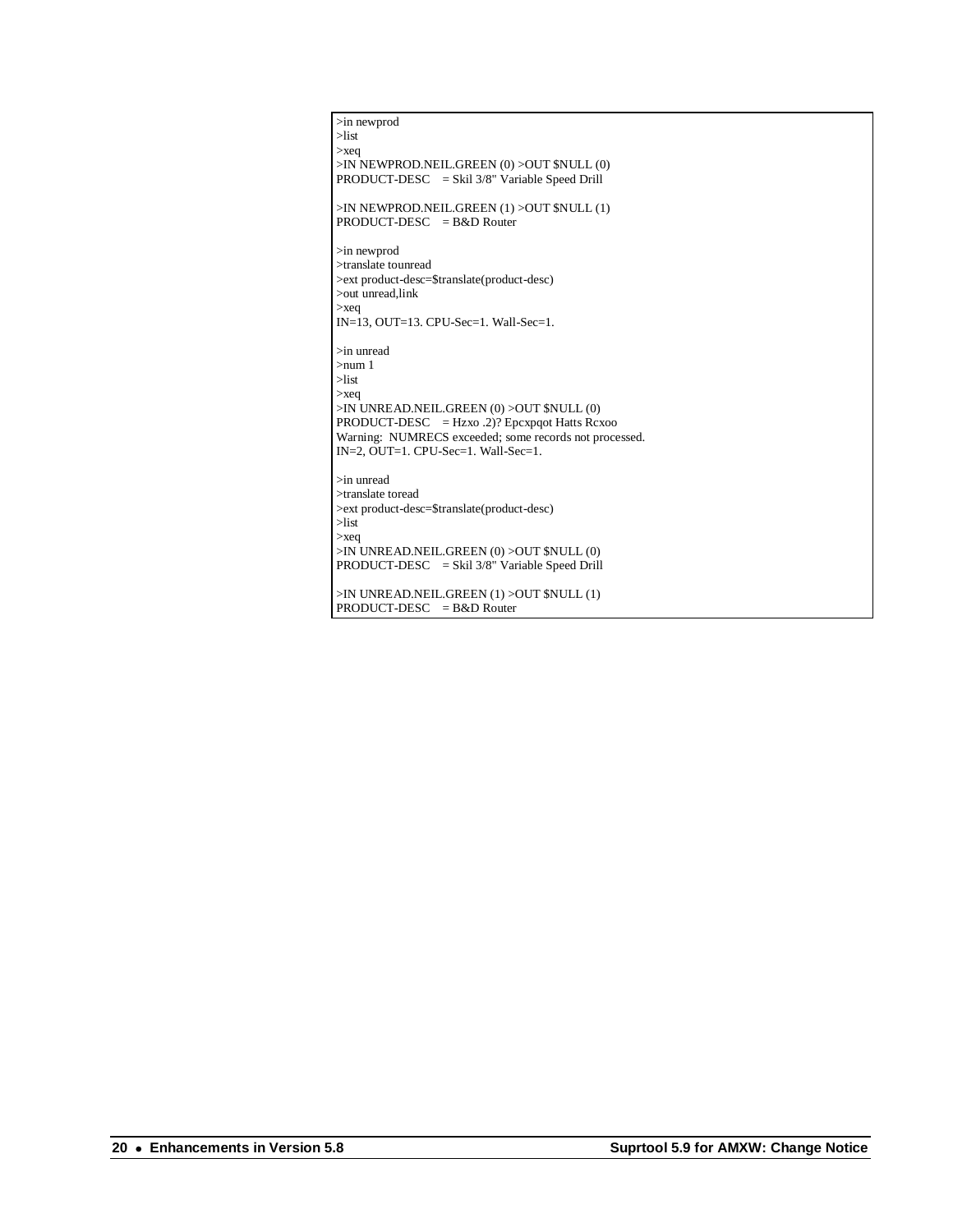>in newprod >list >xeq >IN NEWPROD.NEIL.GREEN (0) >OUT \$NULL (0) PRODUCT-DESC = Skil 3/8" Variable Speed Drill >IN NEWPROD.NEIL.GREEN (1) >OUT \$NULL (1) PRODUCT-DESC = B&D Router >in newprod >translate tounread >ext product-desc=\$translate(product-desc) >out unread,link >xeq IN=13, OUT=13. CPU-Sec=1. Wall-Sec=1. >in unread >num 1 >list >xeq >IN UNREAD.NEIL.GREEN (0) >OUT \$NULL (0) PRODUCT-DESC = Hzxo .2)? Epcxpqot Hatts Rcxoo Warning: NUMRECS exceeded; some records not processed. IN=2, OUT=1. CPU-Sec=1. Wall-Sec=1. >in unread  $\verb|stranslate| to read$ >ext product-desc=\$translate(product-desc) >list >xeq >IN UNREAD.NEIL.GREEN (0) >OUT \$NULL (0) PRODUCT-DESC = Skil 3/8" Variable Speed Drill >IN UNREAD.NEIL.GREEN (1) >OUT \$NULL (1)

PRODUCT-DESC = B&D Router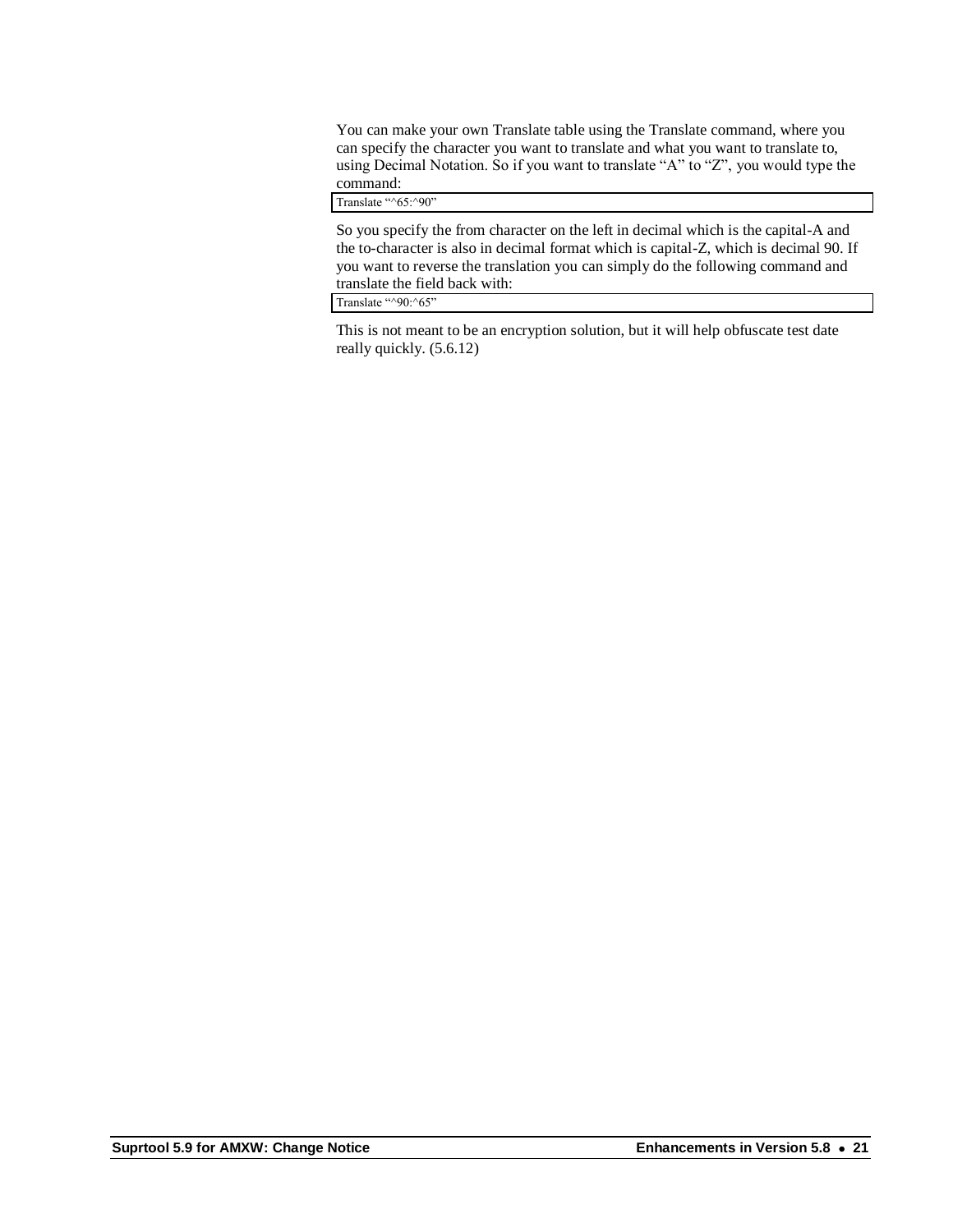You can make your own Translate table using the Translate command, where you can specify the character you want to translate and what you want to translate to, using Decimal Notation. So if you want to translate "A" to "Z", you would type the command:

Translate "^65:^90"

So you specify the from character on the left in decimal which is the capital-A and the to-character is also in decimal format which is capital-Z, which is decimal 90. If you want to reverse the translation you can simply do the following command and translate the field back with:

Translate "^90:^65"

This is not meant to be an encryption solution, but it will help obfuscate test date really quickly. (5.6.12)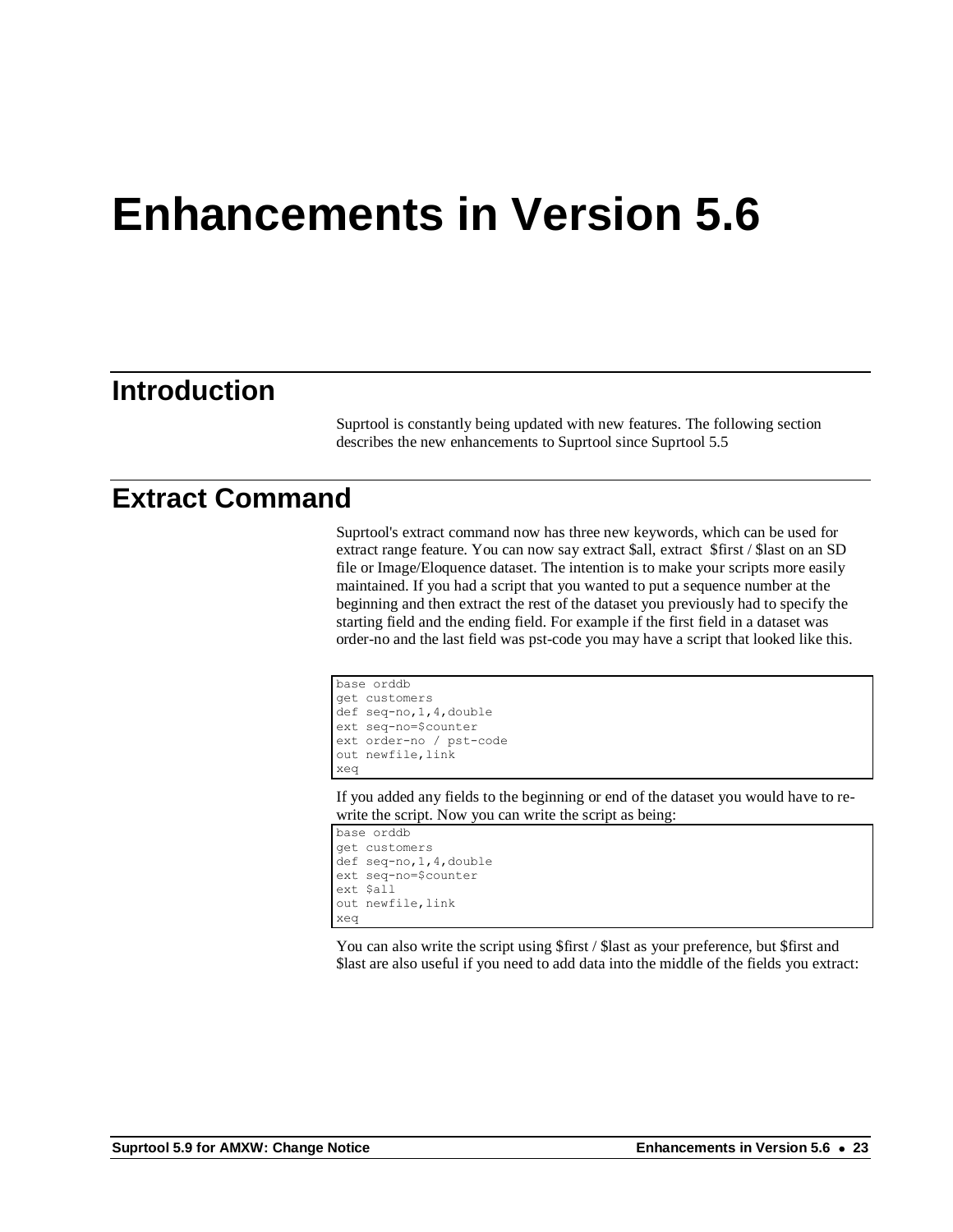# **Enhancements in Version 5.6**

#### **Introduction**

Suprtool is constantly being updated with new features. The following section describes the new enhancements to Suprtool since Suprtool 5.5

#### **Extract Command**

Suprtool's extract command now has three new keywords, which can be used for extract range feature. You can now say extract \$all, extract \$first / \$last on an SD file or Image/Eloquence dataset. The intention is to make your scripts more easily maintained. If you had a script that you wanted to put a sequence number at the beginning and then extract the rest of the dataset you previously had to specify the starting field and the ending field. For example if the first field in a dataset was order-no and the last field was pst-code you may have a script that looked like this.

```
base orddb
get customers
def seq-no,1,4,double
ext seq-no=$counter
ext order-no / pst-code
out newfile, link
xeq
```
If you added any fields to the beginning or end of the dataset you would have to rewrite the script. Now you can write the script as being:

```
base orddb
get customers
def seq-no,1,4,double
ext seq-no=$counter
ext $all
out newfile,link
xeq
```
You can also write the script using \$first / \$last as your preference, but \$first and \$last are also useful if you need to add data into the middle of the fields you extract: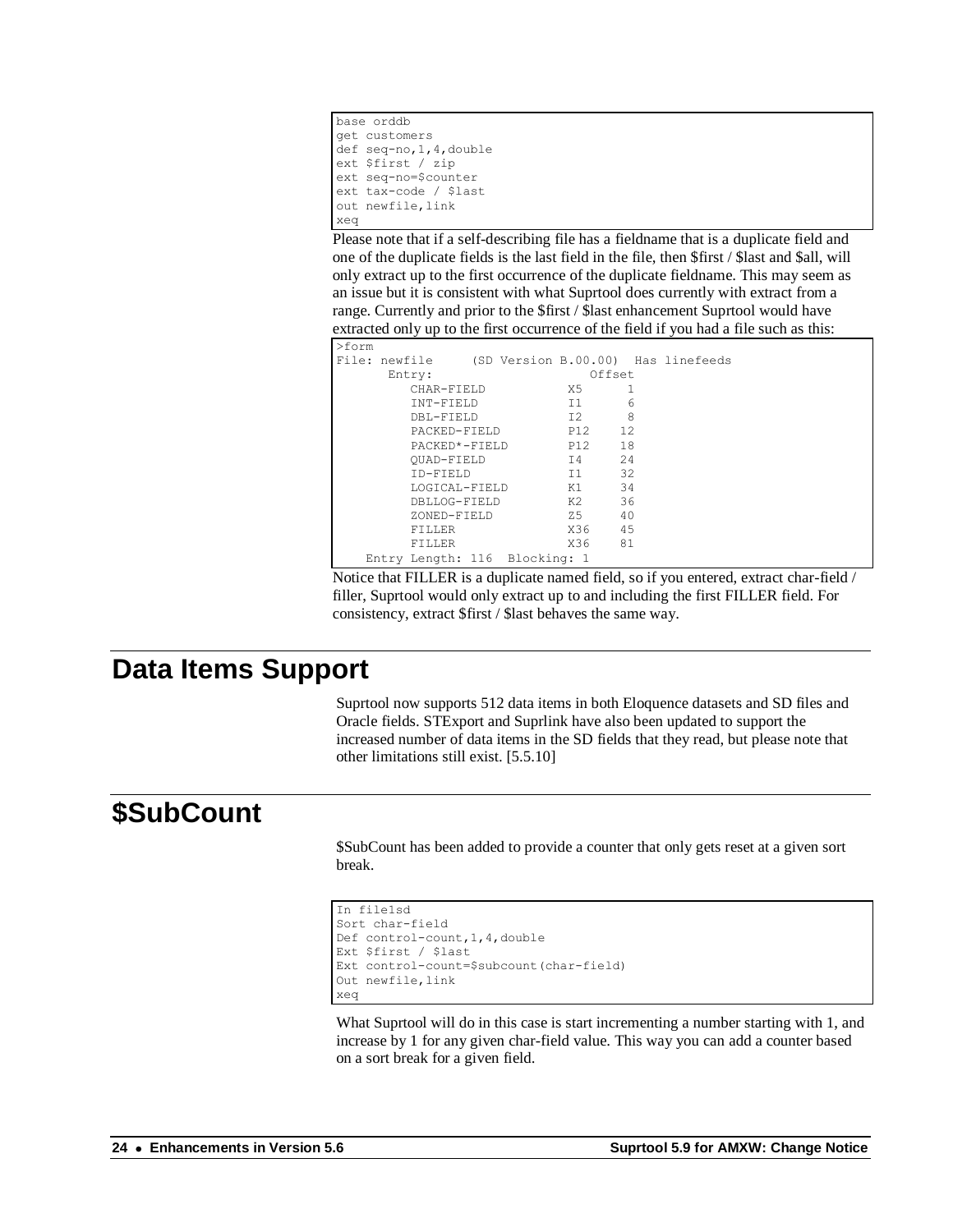```
base orddb
get customers
def seq-no,1,4,double
ext $first / zip
ext seq-no=$counter
ext tax-code / $last
out newfile,link
xeq
```
Please note that if a self-describing file has a fieldname that is a duplicate field and one of the duplicate fields is the last field in the file, then \$first / \$last and \$all, will only extract up to the first occurrence of the duplicate fieldname. This may seem as an issue but it is consistent with what Suprtool does currently with extract from a range. Currently and prior to the \$first / \$last enhancement Suprtool would have extracted only up to the first occurrence of the field if you had a file such as this:

| >form |                               |  |        |        |                                                  |
|-------|-------------------------------|--|--------|--------|--------------------------------------------------|
|       |                               |  |        |        | File: newfile (SD Version B.00.00) Has linefeeds |
|       | Entry:                        |  |        | Offset |                                                  |
|       | CHAR-FIELD                    |  | X5 I   | 1      |                                                  |
|       | INT-FIELD                     |  | T1     | 6      |                                                  |
|       | DBL-FIELD                     |  | T2     | 8      |                                                  |
|       | PACKED-FIELD                  |  | P12 12 |        |                                                  |
|       | PACKED*-FIELD                 |  | P12 18 |        |                                                  |
|       | OUAD-FIELD                    |  | T4     | 2.4    |                                                  |
|       | TD-FTELD                      |  | T1     | 32     |                                                  |
|       | LOGICAL-FIELD                 |  | K1 - 1 | 34     |                                                  |
|       | DBLLOG-FIELD                  |  |        | 36     |                                                  |
|       | ZONED-FIELD                   |  | Z5 - 1 | 40     |                                                  |
|       | FILLER                        |  | X36 45 |        |                                                  |
|       | FILLER                        |  | X36 -  | 81     |                                                  |
|       | Entry Length: 116 Blocking: 1 |  |        |        |                                                  |

Notice that FILLER is a duplicate named field, so if you entered, extract char-field / filler, Suprtool would only extract up to and including the first FILLER field. For consistency, extract \$first / \$last behaves the same way.

#### **Data Items Support**

Suprtool now supports 512 data items in both Eloquence datasets and SD files and Oracle fields. STExport and Suprlink have also been updated to support the increased number of data items in the SD fields that they read, but please note that other limitations still exist. [5.5.10]

## **\$SubCount**

\$SubCount has been added to provide a counter that only gets reset at a given sort break.

```
In file1sd
Sort char-field
Def control-count,1,4,double
Ext $first / $last
Ext control-count=$subcount(char-field)
Out newfile,link
xeq
```
What Suprtool will do in this case is start incrementing a number starting with 1, and increase by 1 for any given char-field value. This way you can add a counter based on a sort break for a given field.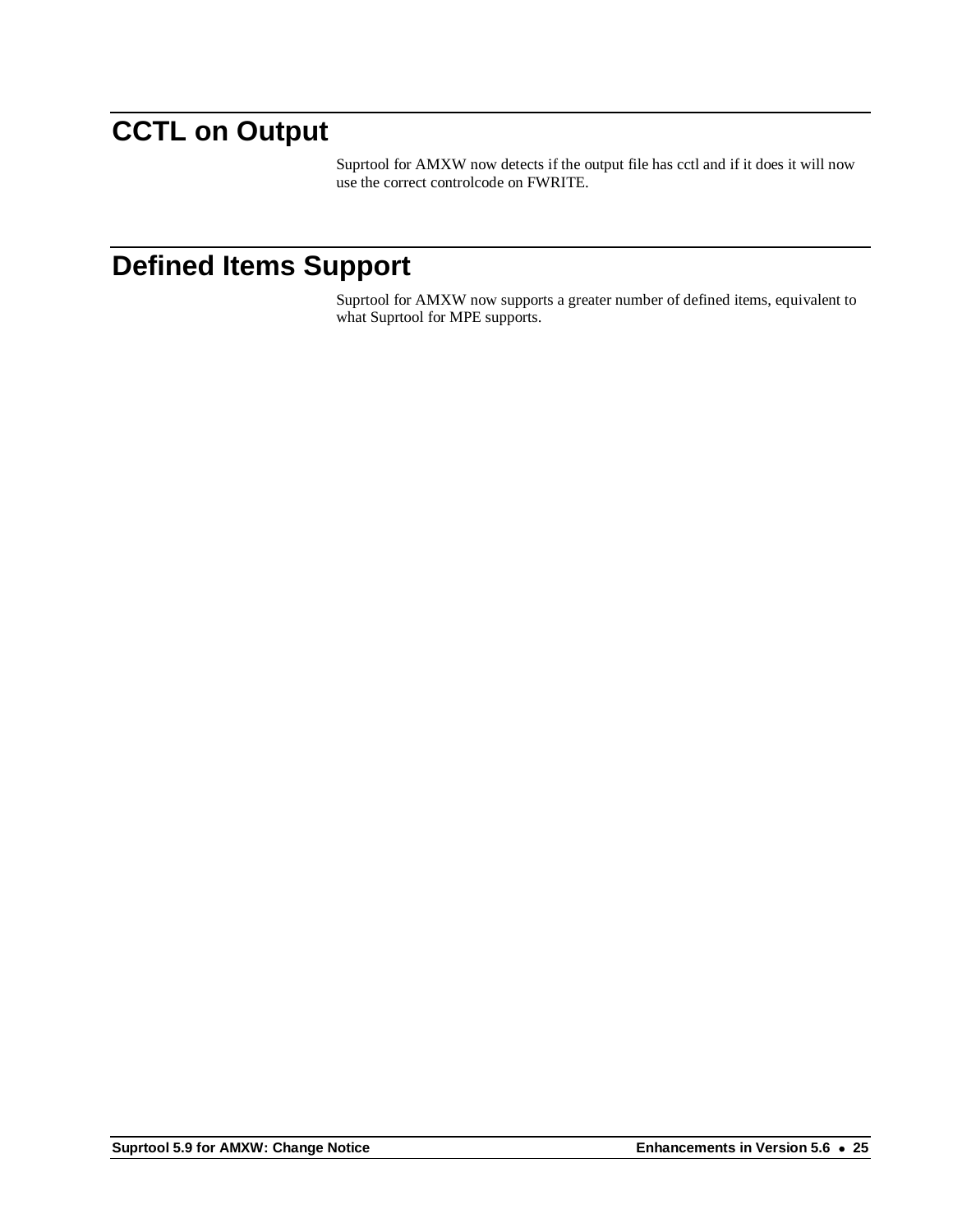## **CCTL on Output**

Suprtool for AMXW now detects if the output file has cctl and if it does it will now use the correct controlcode on FWRITE.

### **Defined Items Support**

Suprtool for AMXW now supports a greater number of defined items, equivalent to what Suprtool for MPE supports.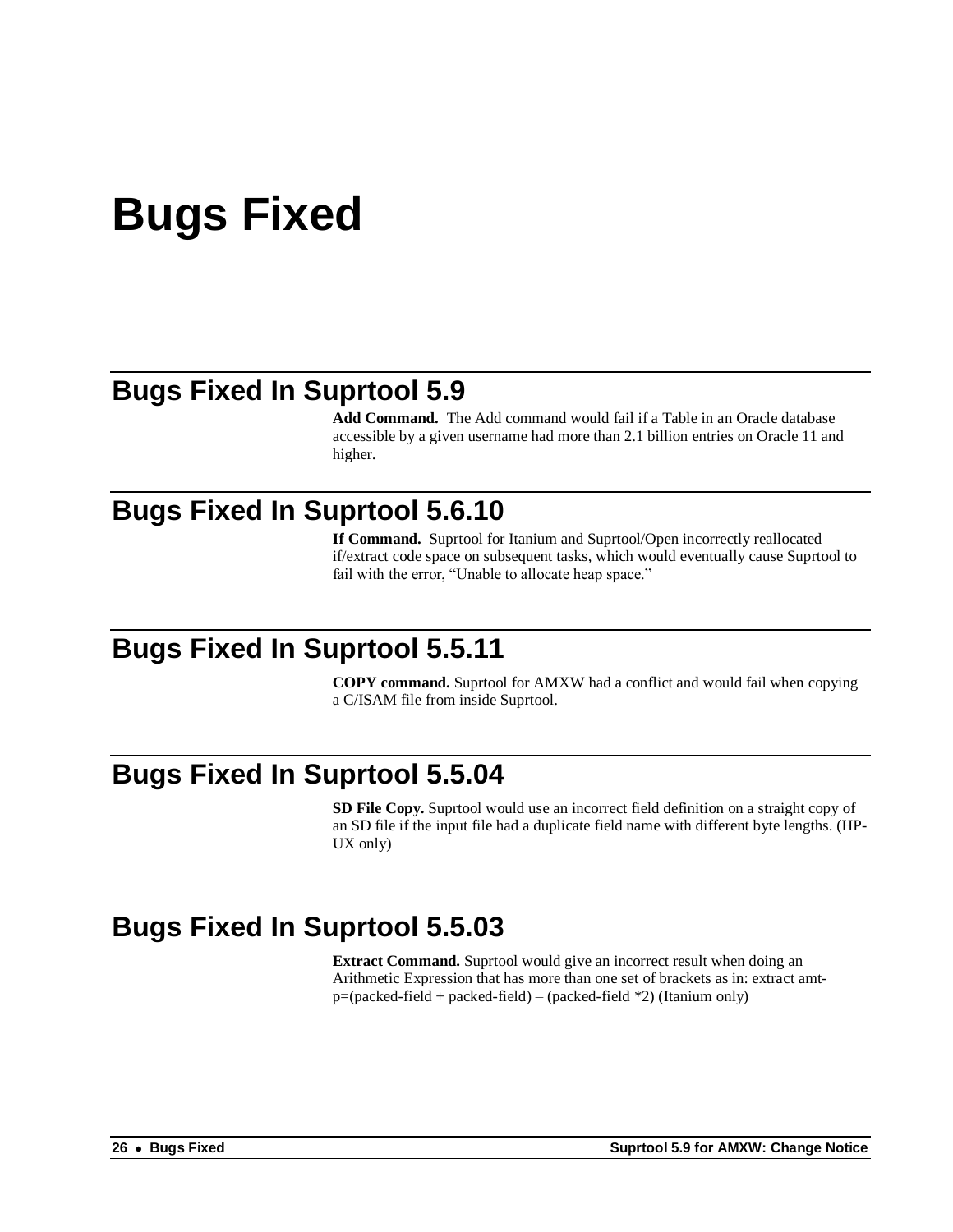# **Bugs Fixed**

### **Bugs Fixed In Suprtool 5.9**

**Add Command.** The Add command would fail if a Table in an Oracle database accessible by a given username had more than 2.1 billion entries on Oracle 11 and higher.

#### **Bugs Fixed In Suprtool 5.6.10**

**If Command.** Suprtool for Itanium and Suprtool/Open incorrectly reallocated if/extract code space on subsequent tasks, which would eventually cause Suprtool to fail with the error, "Unable to allocate heap space."

### **Bugs Fixed In Suprtool 5.5.11**

**COPY command.** Suprtool for AMXW had a conflict and would fail when copying a C/ISAM file from inside Suprtool.

#### **Bugs Fixed In Suprtool 5.5.04**

**SD File Copy.** Suprtool would use an incorrect field definition on a straight copy of an SD file if the input file had a duplicate field name with different byte lengths. (HP-UX only)

### **Bugs Fixed In Suprtool 5.5.03**

**Extract Command.** Suprtool would give an incorrect result when doing an Arithmetic Expression that has more than one set of brackets as in: extract amt $p=(packet-field + packed-field - (packet-field)^2)$  (Itanium only)